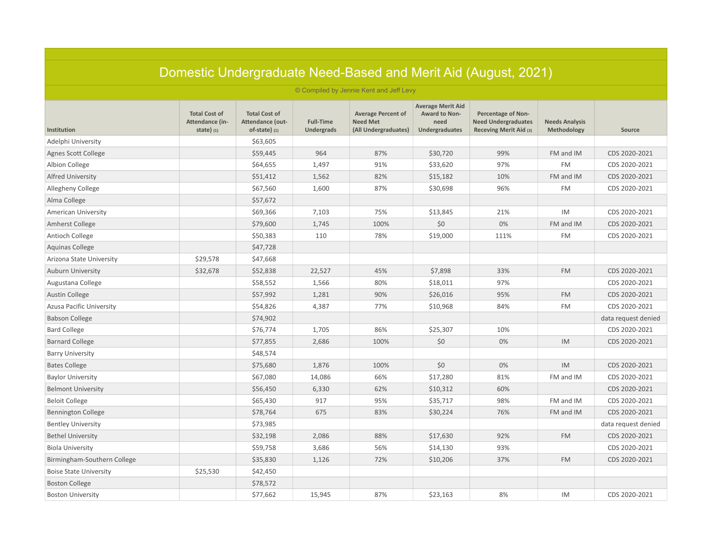| Domestic Undergraduate Need-Based and Merit Aid (August, 2021) |                                                        |                                                             |                                       |                                                                      |                                                                     |                                                                                   |                                      |                     |  |  |
|----------------------------------------------------------------|--------------------------------------------------------|-------------------------------------------------------------|---------------------------------------|----------------------------------------------------------------------|---------------------------------------------------------------------|-----------------------------------------------------------------------------------|--------------------------------------|---------------------|--|--|
|                                                                |                                                        |                                                             |                                       | © Compiled by Jennie Kent and Jeff Levy                              |                                                                     |                                                                                   |                                      |                     |  |  |
| Institution                                                    | <b>Total Cost of</b><br>Attendance (in-<br>state $(1)$ | <b>Total Cost of</b><br>Attendance (out-<br>$of-state)$ (1) | <b>Full-Time</b><br><b>Undergrads</b> | <b>Average Percent of</b><br><b>Need Met</b><br>(All Undergraduates) | <b>Average Merit Aid</b><br>Award to Non-<br>need<br>Undergraduates | <b>Percentage of Non-</b><br><b>Need Undergraduates</b><br>Receving Merit Aid (3) | <b>Needs Analysis</b><br>Methodology | Source              |  |  |
| Adelphi University                                             |                                                        | \$63,605                                                    |                                       |                                                                      |                                                                     |                                                                                   |                                      |                     |  |  |
| Agnes Scott College                                            |                                                        | \$59,445                                                    | 964                                   | 87%                                                                  | \$30,720                                                            | 99%                                                                               | FM and IM                            | CDS 2020-2021       |  |  |
| Albion College                                                 |                                                        | \$64,655                                                    | 1,497                                 | 91%                                                                  | \$33,620                                                            | 97%                                                                               | <b>FM</b>                            | CDS 2020-2021       |  |  |
| <b>Alfred University</b>                                       |                                                        | \$51,412                                                    | 1,562                                 | 82%                                                                  | \$15,182                                                            | 10%                                                                               | FM and IM                            | CDS 2020-2021       |  |  |
| Allegheny College                                              |                                                        | \$67,560                                                    | 1,600                                 | 87%                                                                  | \$30,698                                                            | 96%                                                                               | <b>FM</b>                            | CDS 2020-2021       |  |  |
| Alma College                                                   |                                                        | \$57,672                                                    |                                       |                                                                      |                                                                     |                                                                                   |                                      |                     |  |  |
| <b>American University</b>                                     |                                                        | \$69,366                                                    | 7,103                                 | 75%                                                                  | \$13,845                                                            | 21%                                                                               | <b>IM</b>                            | CDS 2020-2021       |  |  |
| Amherst College                                                |                                                        | \$79,600                                                    | 1,745                                 | 100%                                                                 | \$0                                                                 | 0%                                                                                | FM and IM                            | CDS 2020-2021       |  |  |
| Antioch College                                                |                                                        | \$50,383                                                    | 110                                   | 78%                                                                  | \$19,000                                                            | 111%                                                                              | <b>FM</b>                            | CDS 2020-2021       |  |  |
| <b>Aquinas College</b>                                         |                                                        | \$47,728                                                    |                                       |                                                                      |                                                                     |                                                                                   |                                      |                     |  |  |
| Arizona State University                                       | \$29,578                                               | \$47,668                                                    |                                       |                                                                      |                                                                     |                                                                                   |                                      |                     |  |  |
| <b>Auburn University</b>                                       | \$32,678                                               | \$52,838                                                    | 22,527                                | 45%                                                                  | \$7,898                                                             | 33%                                                                               | <b>FM</b>                            | CDS 2020-2021       |  |  |
| Augustana College                                              |                                                        | \$58,552                                                    | 1,566                                 | 80%                                                                  | \$18,011                                                            | 97%                                                                               |                                      | CDS 2020-2021       |  |  |
| <b>Austin College</b>                                          |                                                        | \$57,992                                                    | 1,281                                 | 90%                                                                  | \$26,016                                                            | 95%                                                                               | <b>FM</b>                            | CDS 2020-2021       |  |  |
| Azusa Pacific University                                       |                                                        | \$54,826                                                    | 4,387                                 | 77%                                                                  | \$10,968                                                            | 84%                                                                               | <b>FM</b>                            | CDS 2020-2021       |  |  |
| <b>Babson College</b>                                          |                                                        | \$74,902                                                    |                                       |                                                                      |                                                                     |                                                                                   |                                      | data request denied |  |  |
| <b>Bard College</b>                                            |                                                        | \$76,774                                                    | 1,705                                 | 86%                                                                  | \$25,307                                                            | 10%                                                                               |                                      | CDS 2020-2021       |  |  |
| <b>Barnard College</b>                                         |                                                        | \$77,855                                                    | 2,686                                 | 100%                                                                 | \$0                                                                 | 0%                                                                                | IM                                   | CDS 2020-2021       |  |  |
| <b>Barry University</b>                                        |                                                        | \$48,574                                                    |                                       |                                                                      |                                                                     |                                                                                   |                                      |                     |  |  |
| <b>Bates College</b>                                           |                                                        | \$75,680                                                    | 1,876                                 | 100%                                                                 | \$0                                                                 | 0%                                                                                | IM                                   | CDS 2020-2021       |  |  |
| <b>Baylor University</b>                                       |                                                        | \$67,080                                                    | 14,086                                | 66%                                                                  | \$17,280                                                            | 81%                                                                               | FM and IM                            | CDS 2020-2021       |  |  |
| <b>Belmont University</b>                                      |                                                        | \$56,450                                                    | 6,330                                 | 62%                                                                  | \$10,312                                                            | 60%                                                                               |                                      | CDS 2020-2021       |  |  |
| <b>Beloit College</b>                                          |                                                        | \$65,430                                                    | 917                                   | 95%                                                                  | \$35,717                                                            | 98%                                                                               | FM and IM                            | CDS 2020-2021       |  |  |
| <b>Bennington College</b>                                      |                                                        | \$78,764                                                    | 675                                   | 83%                                                                  | \$30,224                                                            | 76%                                                                               | FM and IM                            | CDS 2020-2021       |  |  |
| <b>Bentley University</b>                                      |                                                        | \$73,985                                                    |                                       |                                                                      |                                                                     |                                                                                   |                                      | data request denied |  |  |
| <b>Bethel University</b>                                       |                                                        | \$32,198                                                    | 2,086                                 | 88%                                                                  | \$17,630                                                            | 92%                                                                               | <b>FM</b>                            | CDS 2020-2021       |  |  |
| <b>Biola University</b>                                        |                                                        | \$59,758                                                    | 3,686                                 | 56%                                                                  | \$14,130                                                            | 93%                                                                               |                                      | CDS 2020-2021       |  |  |
| Birmingham-Southern College                                    |                                                        | \$35,830                                                    | 1,126                                 | 72%                                                                  | \$10,206                                                            | 37%                                                                               | <b>FM</b>                            | CDS 2020-2021       |  |  |
| <b>Boise State University</b>                                  | \$25,530                                               | \$42,450                                                    |                                       |                                                                      |                                                                     |                                                                                   |                                      |                     |  |  |
| <b>Boston College</b>                                          |                                                        | \$78,572                                                    |                                       |                                                                      |                                                                     |                                                                                   |                                      |                     |  |  |
| <b>Boston University</b>                                       |                                                        | \$77,662                                                    | 15,945                                | 87%                                                                  | \$23,163                                                            | 8%                                                                                | IM                                   | CDS 2020-2021       |  |  |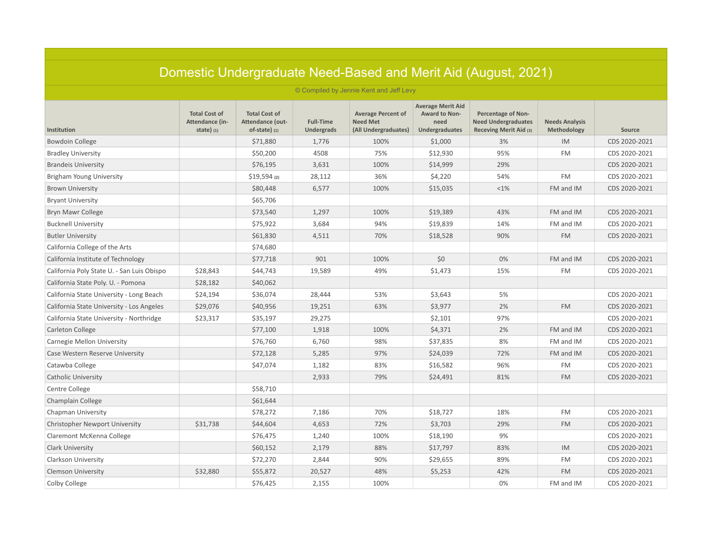|                                            |                                                                                                  |                                                           |                                |                                                                      |                                                                     | Domestic Undergraduate Need-Based and Merit Aid (August, 2021)                    |                                      |               |
|--------------------------------------------|--------------------------------------------------------------------------------------------------|-----------------------------------------------------------|--------------------------------|----------------------------------------------------------------------|---------------------------------------------------------------------|-----------------------------------------------------------------------------------|--------------------------------------|---------------|
|                                            |                                                                                                  |                                                           |                                | © Compiled by Jennie Kent and Jeff Levy                              |                                                                     |                                                                                   |                                      |               |
| Institution                                | <b>Total Cost of</b><br>Attendance (in-<br>state $\left( \begin{array}{c} 1 \end{array} \right)$ | <b>Total Cost of</b><br>Attendance (out-<br>of-state) (1) | <b>Full-Time</b><br>Undergrads | <b>Average Percent of</b><br><b>Need Met</b><br>(All Undergraduates) | <b>Average Merit Aid</b><br>Award to Non-<br>need<br>Undergraduates | <b>Percentage of Non-</b><br><b>Need Undergraduates</b><br>Receving Merit Aid (3) | <b>Needs Analysis</b><br>Methodology | Source        |
| <b>Bowdoin College</b>                     |                                                                                                  | \$71,880                                                  | 1,776                          | 100%                                                                 | \$1,000                                                             | 3%                                                                                | IM                                   | CDS 2020-2021 |
| <b>Bradley University</b>                  |                                                                                                  | \$50,200                                                  | 4508                           | 75%                                                                  | \$12,930                                                            | 95%                                                                               | <b>FM</b>                            | CDS 2020-2021 |
| <b>Brandeis University</b>                 |                                                                                                  | \$76,195                                                  | 3,631                          | 100%                                                                 | \$14,999                                                            | 29%                                                                               |                                      | CDS 2020-2021 |
| Brigham Young University                   |                                                                                                  | $$19,594$ (2)                                             | 28,112                         | 36%                                                                  | \$4,220                                                             | 54%                                                                               | <b>FM</b>                            | CDS 2020-2021 |
| <b>Brown University</b>                    |                                                                                                  | \$80,448                                                  | 6,577                          | 100%                                                                 | \$15,035                                                            | <1%                                                                               | FM and IM                            | CDS 2020-2021 |
| <b>Bryant University</b>                   |                                                                                                  | \$65,706                                                  |                                |                                                                      |                                                                     |                                                                                   |                                      |               |
| Bryn Mawr College                          |                                                                                                  | \$73,540                                                  | 1,297                          | 100%                                                                 | \$19,389                                                            | 43%                                                                               | FM and IM                            | CDS 2020-2021 |
| <b>Bucknell University</b>                 |                                                                                                  | \$75,922                                                  | 3,684                          | 94%                                                                  | \$19,839                                                            | 14%                                                                               | FM and IM                            | CDS 2020-2021 |
| <b>Butler University</b>                   |                                                                                                  | \$61,830                                                  | 4,511                          | 70%                                                                  | \$18,528                                                            | 90%                                                                               | <b>FM</b>                            | CDS 2020-2021 |
| California College of the Arts             |                                                                                                  | \$74,680                                                  |                                |                                                                      |                                                                     |                                                                                   |                                      |               |
| California Institute of Technology         |                                                                                                  | \$77,718                                                  | 901                            | 100%                                                                 | \$0                                                                 | 0%                                                                                | FM and IM                            | CDS 2020-2021 |
| California Poly State U. - San Luis Obispo | \$28,843                                                                                         | \$44,743                                                  | 19,589                         | 49%                                                                  | \$1,473                                                             | 15%                                                                               | <b>FM</b>                            | CDS 2020-2021 |
| California State Poly. U. - Pomona         | \$28,182                                                                                         | \$40,062                                                  |                                |                                                                      |                                                                     |                                                                                   |                                      |               |
| California State University - Long Beach   | \$24,194                                                                                         | \$36,074                                                  | 28,444                         | 53%                                                                  | \$3,643                                                             | 5%                                                                                |                                      | CDS 2020-2021 |
| California State University - Los Angeles  | \$29,076                                                                                         | \$40,956                                                  | 19,251                         | 63%                                                                  | \$3,977                                                             | 2%                                                                                | <b>FM</b>                            | CDS 2020-2021 |
| California State University - Northridge   | \$23,317                                                                                         | \$35,197                                                  | 29,275                         |                                                                      | \$2,101                                                             | 97%                                                                               |                                      | CDS 2020-2021 |
| Carleton College                           |                                                                                                  | \$77,100                                                  | 1,918                          | 100%                                                                 | \$4,371                                                             | 2%                                                                                | FM and IM                            | CDS 2020-2021 |
| Carnegie Mellon University                 |                                                                                                  | \$76,760                                                  | 6,760                          | 98%                                                                  | \$37,835                                                            | 8%                                                                                | FM and IM                            | CDS 2020-2021 |
| Case Western Reserve University            |                                                                                                  | \$72,128                                                  | 5,285                          | 97%                                                                  | \$24,039                                                            | 72%                                                                               | FM and IM                            | CDS 2020-2021 |
| Catawba College                            |                                                                                                  | \$47,074                                                  | 1,182                          | 83%                                                                  | \$16,582                                                            | 96%                                                                               | <b>FM</b>                            | CDS 2020-2021 |
| <b>Catholic University</b>                 |                                                                                                  |                                                           | 2,933                          | 79%                                                                  | \$24,491                                                            | 81%                                                                               | <b>FM</b>                            | CDS 2020-2021 |
| Centre College                             |                                                                                                  | \$58,710                                                  |                                |                                                                      |                                                                     |                                                                                   |                                      |               |
| Champlain College                          |                                                                                                  | \$61,644                                                  |                                |                                                                      |                                                                     |                                                                                   |                                      |               |
| Chapman University                         |                                                                                                  | \$78,272                                                  | 7,186                          | 70%                                                                  | \$18,727                                                            | 18%                                                                               | <b>FM</b>                            | CDS 2020-2021 |
| <b>Christopher Newport University</b>      | \$31,738                                                                                         | \$44,604                                                  | 4,653                          | 72%                                                                  | \$3,703                                                             | 29%                                                                               | <b>FM</b>                            | CDS 2020-2021 |
| Claremont McKenna College                  |                                                                                                  | \$76,475                                                  | 1,240                          | 100%                                                                 | \$18,190                                                            | 9%                                                                                |                                      | CDS 2020-2021 |
| <b>Clark University</b>                    |                                                                                                  | \$60,152                                                  | 2,179                          | 88%                                                                  | \$17,797                                                            | 83%                                                                               | IM                                   | CDS 2020-2021 |
| Clarkson University                        |                                                                                                  | \$72,270                                                  | 2,844                          | 90%                                                                  | \$29,655                                                            | 89%                                                                               | <b>FM</b>                            | CDS 2020-2021 |
| <b>Clemson University</b>                  | \$32,880                                                                                         | \$55,872                                                  | 20,527                         | 48%                                                                  | \$5,253                                                             | 42%                                                                               | <b>FM</b>                            | CDS 2020-2021 |
| Colby College                              |                                                                                                  | \$76,425                                                  | 2,155                          | 100%                                                                 |                                                                     | 0%                                                                                | FM and IM                            | CDS 2020-2021 |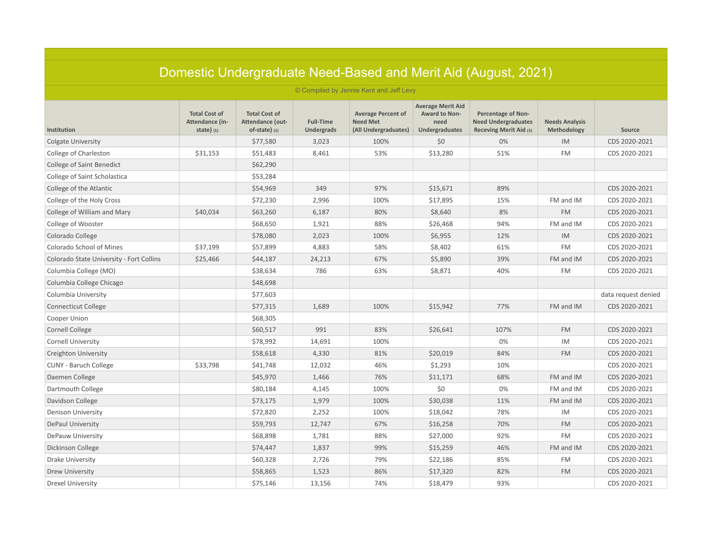| Domestic Undergraduate Need-Based and Merit Aid (August, 2021) |                                                        |                                                             |                                       |                                                                      |                                                                            |                                                                                   |                                      |                     |  |  |
|----------------------------------------------------------------|--------------------------------------------------------|-------------------------------------------------------------|---------------------------------------|----------------------------------------------------------------------|----------------------------------------------------------------------------|-----------------------------------------------------------------------------------|--------------------------------------|---------------------|--|--|
|                                                                |                                                        |                                                             |                                       | © Compiled by Jennie Kent and Jeff Levy                              |                                                                            |                                                                                   |                                      |                     |  |  |
| <b>Institution</b>                                             | <b>Total Cost of</b><br>Attendance (in-<br>state $(1)$ | <b>Total Cost of</b><br>Attendance (out-<br>$of-state)$ (1) | <b>Full-Time</b><br><b>Undergrads</b> | <b>Average Percent of</b><br><b>Need Met</b><br>(All Undergraduates) | <b>Average Merit Aid</b><br><b>Award to Non-</b><br>need<br>Undergraduates | <b>Percentage of Non-</b><br><b>Need Undergraduates</b><br>Receving Merit Aid (3) | <b>Needs Analysis</b><br>Methodology | Source              |  |  |
| <b>Colgate University</b>                                      |                                                        | \$77,580                                                    | 3,023                                 | 100%                                                                 | \$0                                                                        | 0%                                                                                | IM                                   | CDS 2020-2021       |  |  |
| College of Charleston                                          | \$31,153                                               | \$51,483                                                    | 8,461                                 | 53%                                                                  | \$13,280                                                                   | 51%                                                                               | <b>FM</b>                            | CDS 2020-2021       |  |  |
| <b>College of Saint Benedict</b>                               |                                                        | \$62,290                                                    |                                       |                                                                      |                                                                            |                                                                                   |                                      |                     |  |  |
| College of Saint Scholastica                                   |                                                        | \$53,284                                                    |                                       |                                                                      |                                                                            |                                                                                   |                                      |                     |  |  |
| College of the Atlantic                                        |                                                        | \$54,969                                                    | 349                                   | 97%                                                                  | \$15,671                                                                   | 89%                                                                               |                                      | CDS 2020-2021       |  |  |
| College of the Holy Cross                                      |                                                        | \$72,230                                                    | 2,996                                 | 100%                                                                 | \$17,895                                                                   | 15%                                                                               | FM and IM                            | CDS 2020-2021       |  |  |
| College of William and Mary                                    | \$40,034                                               | \$63,260                                                    | 6,187                                 | 80%                                                                  | \$8,640                                                                    | 8%                                                                                | <b>FM</b>                            | CDS 2020-2021       |  |  |
| College of Wooster                                             |                                                        | \$68,650                                                    | 1,921                                 | 88%                                                                  | \$26,468                                                                   | 94%                                                                               | FM and IM                            | CDS 2020-2021       |  |  |
| Colorado College                                               |                                                        | \$78,080                                                    | 2,023                                 | 100%                                                                 | \$6,955                                                                    | 12%                                                                               | IM                                   | CDS 2020-2021       |  |  |
| Colorado School of Mines                                       | \$37,199                                               | \$57,899                                                    | 4,883                                 | 58%                                                                  | \$8,402                                                                    | 61%                                                                               | <b>FM</b>                            | CDS 2020-2021       |  |  |
| Colorado State University - Fort Collins                       | \$25,466                                               | \$44,187                                                    | 24,213                                | 67%                                                                  | \$5,890                                                                    | 39%                                                                               | FM and IM                            | CDS 2020-2021       |  |  |
| Columbia College (MO)                                          |                                                        | \$38,634                                                    | 786                                   | 63%                                                                  | \$8,871                                                                    | 40%                                                                               | <b>FM</b>                            | CDS 2020-2021       |  |  |
| Columbia College Chicago                                       |                                                        | \$48,698                                                    |                                       |                                                                      |                                                                            |                                                                                   |                                      |                     |  |  |
| Columbia University                                            |                                                        | \$77,603                                                    |                                       |                                                                      |                                                                            |                                                                                   |                                      | data request denied |  |  |
| <b>Connecticut College</b>                                     |                                                        | \$77,315                                                    | 1,689                                 | 100%                                                                 | \$15,942                                                                   | 77%                                                                               | FM and IM                            | CDS 2020-2021       |  |  |
| Cooper Union                                                   |                                                        | \$68,305                                                    |                                       |                                                                      |                                                                            |                                                                                   |                                      |                     |  |  |
| <b>Cornell College</b>                                         |                                                        | \$60,517                                                    | 991                                   | 83%                                                                  | \$26,641                                                                   | 107%                                                                              | <b>FM</b>                            | CDS 2020-2021       |  |  |
| <b>Cornell University</b>                                      |                                                        | \$78,992                                                    | 14,691                                | 100%                                                                 |                                                                            | 0%                                                                                | IM                                   | CDS 2020-2021       |  |  |
| Creighton University                                           |                                                        | \$58,618                                                    | 4,330                                 | 81%                                                                  | \$20,019                                                                   | 84%                                                                               | <b>FM</b>                            | CDS 2020-2021       |  |  |
| <b>CUNY - Baruch College</b>                                   | \$33,798                                               | \$41,748                                                    | 12,032                                | 46%                                                                  | \$1,293                                                                    | 10%                                                                               |                                      | CDS 2020-2021       |  |  |
| Daemen College                                                 |                                                        | \$45,970                                                    | 1,466                                 | 76%                                                                  | \$11,171                                                                   | 68%                                                                               | FM and IM                            | CDS 2020-2021       |  |  |
| Dartmouth College                                              |                                                        | \$80,184                                                    | 4,145                                 | 100%                                                                 | \$0                                                                        | 0%                                                                                | FM and IM                            | CDS 2020-2021       |  |  |
| Davidson College                                               |                                                        | \$73,175                                                    | 1,979                                 | 100%                                                                 | \$30,038                                                                   | 11%                                                                               | FM and IM                            | CDS 2020-2021       |  |  |
| <b>Denison University</b>                                      |                                                        | \$72,820                                                    | 2,252                                 | 100%                                                                 | \$18,042                                                                   | 78%                                                                               | IM                                   | CDS 2020-2021       |  |  |
| DePaul University                                              |                                                        | \$59,793                                                    | 12,747                                | 67%                                                                  | \$16,258                                                                   | 70%                                                                               | <b>FM</b>                            | CDS 2020-2021       |  |  |
| DePauw University                                              |                                                        | \$68,898                                                    | 1,781                                 | 88%                                                                  | \$27,000                                                                   | 92%                                                                               | <b>FM</b>                            | CDS 2020-2021       |  |  |
| Dickinson College                                              |                                                        | \$74,447                                                    | 1,837                                 | 99%                                                                  | \$15,259                                                                   | 46%                                                                               | FM and IM                            | CDS 2020-2021       |  |  |
| Drake University                                               |                                                        | \$60,328                                                    | 2,726                                 | 79%                                                                  | \$22,186                                                                   | 85%                                                                               | FM                                   | CDS 2020-2021       |  |  |
| Drew University                                                |                                                        | \$58,865                                                    | 1,523                                 | 86%                                                                  | \$17,320                                                                   | 82%                                                                               | <b>FM</b>                            | CDS 2020-2021       |  |  |
| <b>Drexel University</b>                                       |                                                        | \$75,146                                                    | 13,156                                | 74%                                                                  | \$18,479                                                                   | 93%                                                                               |                                      | CDS 2020-2021       |  |  |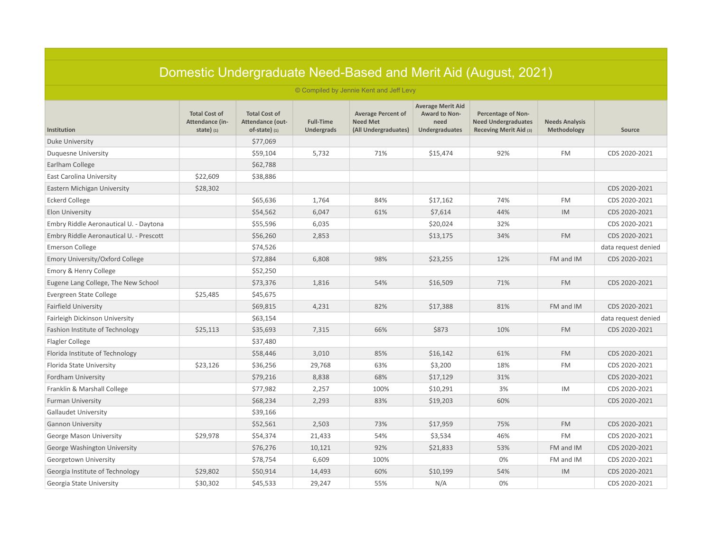| Domestic Undergraduate Need-Based and Merit Aid (August, 2021) |                                                        |                                                             |                                       |                                                                      |                                                                     |                                                                                   |                                      |                     |  |  |  |
|----------------------------------------------------------------|--------------------------------------------------------|-------------------------------------------------------------|---------------------------------------|----------------------------------------------------------------------|---------------------------------------------------------------------|-----------------------------------------------------------------------------------|--------------------------------------|---------------------|--|--|--|
| © Compiled by Jennie Kent and Jeff Levy                        |                                                        |                                                             |                                       |                                                                      |                                                                     |                                                                                   |                                      |                     |  |  |  |
| Institution                                                    | <b>Total Cost of</b><br>Attendance (in-<br>state $(1)$ | <b>Total Cost of</b><br>Attendance (out-<br>$of-state)$ (1) | <b>Full-Time</b><br><b>Undergrads</b> | <b>Average Percent of</b><br><b>Need Met</b><br>(All Undergraduates) | <b>Average Merit Aid</b><br>Award to Non-<br>need<br>Undergraduates | <b>Percentage of Non-</b><br><b>Need Undergraduates</b><br>Receving Merit Aid (3) | <b>Needs Analysis</b><br>Methodology | Source              |  |  |  |
| Duke University                                                |                                                        | \$77,069                                                    |                                       |                                                                      |                                                                     |                                                                                   |                                      |                     |  |  |  |
| Duquesne University                                            |                                                        | \$59,104                                                    | 5,732                                 | 71%                                                                  | \$15,474                                                            | 92%                                                                               | <b>FM</b>                            | CDS 2020-2021       |  |  |  |
| Earlham College                                                |                                                        | \$62,788                                                    |                                       |                                                                      |                                                                     |                                                                                   |                                      |                     |  |  |  |
| East Carolina University                                       | \$22,609                                               | \$38,886                                                    |                                       |                                                                      |                                                                     |                                                                                   |                                      |                     |  |  |  |
| Eastern Michigan University                                    | \$28,302                                               |                                                             |                                       |                                                                      |                                                                     |                                                                                   |                                      | CDS 2020-2021       |  |  |  |
| <b>Eckerd College</b>                                          |                                                        | \$65,636                                                    | 1,764                                 | 84%                                                                  | \$17,162                                                            | 74%                                                                               | <b>FM</b>                            | CDS 2020-2021       |  |  |  |
| <b>Elon University</b>                                         |                                                        | \$54,562                                                    | 6,047                                 | 61%                                                                  | \$7,614                                                             | 44%                                                                               | IM                                   | CDS 2020-2021       |  |  |  |
| Embry Riddle Aeronautical U. - Daytona                         |                                                        | \$55,596                                                    | 6,035                                 |                                                                      | \$20,024                                                            | 32%                                                                               |                                      | CDS 2020-2021       |  |  |  |
| Embry Riddle Aeronautical U. - Prescott                        |                                                        | \$56,260                                                    | 2,853                                 |                                                                      | \$13,175                                                            | 34%                                                                               | <b>FM</b>                            | CDS 2020-2021       |  |  |  |
| <b>Emerson College</b>                                         |                                                        | \$74,526                                                    |                                       |                                                                      |                                                                     |                                                                                   |                                      | data request denied |  |  |  |
| Emory University/Oxford College                                |                                                        | \$72,884                                                    | 6,808                                 | 98%                                                                  | \$23,255                                                            | 12%                                                                               | FM and IM                            | CDS 2020-2021       |  |  |  |
| Emory & Henry College                                          |                                                        | \$52,250                                                    |                                       |                                                                      |                                                                     |                                                                                   |                                      |                     |  |  |  |
| Eugene Lang College, The New School                            |                                                        | \$73,376                                                    | 1,816                                 | 54%                                                                  | \$16,509                                                            | 71%                                                                               | <b>FM</b>                            | CDS 2020-2021       |  |  |  |
| Evergreen State College                                        | \$25,485                                               | \$45,675                                                    |                                       |                                                                      |                                                                     |                                                                                   |                                      |                     |  |  |  |
| <b>Fairfield University</b>                                    |                                                        | \$69,815                                                    | 4,231                                 | 82%                                                                  | \$17,388                                                            | 81%                                                                               | FM and IM                            | CDS 2020-2021       |  |  |  |
| Fairleigh Dickinson University                                 |                                                        | \$63,154                                                    |                                       |                                                                      |                                                                     |                                                                                   |                                      | data request denied |  |  |  |
| Fashion Institute of Technology                                | \$25,113                                               | \$35,693                                                    | 7,315                                 | 66%                                                                  | \$873                                                               | 10%                                                                               | <b>FM</b>                            | CDS 2020-2021       |  |  |  |
| Flagler College                                                |                                                        | \$37,480                                                    |                                       |                                                                      |                                                                     |                                                                                   |                                      |                     |  |  |  |
| Florida Institute of Technology                                |                                                        | \$58,446                                                    | 3,010                                 | 85%                                                                  | \$16,142                                                            | 61%                                                                               | <b>FM</b>                            | CDS 2020-2021       |  |  |  |
| Florida State University                                       | \$23,126                                               | \$36,256                                                    | 29,768                                | 63%                                                                  | \$3,200                                                             | 18%                                                                               | <b>FM</b>                            | CDS 2020-2021       |  |  |  |
| Fordham University                                             |                                                        | \$79,216                                                    | 8,838                                 | 68%                                                                  | \$17,129                                                            | 31%                                                                               |                                      | CDS 2020-2021       |  |  |  |
| Franklin & Marshall College                                    |                                                        | \$77,982                                                    | 2,257                                 | 100%                                                                 | \$10,291                                                            | 3%                                                                                | IM                                   | CDS 2020-2021       |  |  |  |
| <b>Furman University</b>                                       |                                                        | \$68,234                                                    | 2,293                                 | 83%                                                                  | \$19,203                                                            | 60%                                                                               |                                      | CDS 2020-2021       |  |  |  |
| <b>Gallaudet University</b>                                    |                                                        | \$39,166                                                    |                                       |                                                                      |                                                                     |                                                                                   |                                      |                     |  |  |  |
| <b>Gannon University</b>                                       |                                                        | \$52,561                                                    | 2,503                                 | 73%                                                                  | \$17,959                                                            | 75%                                                                               | <b>FM</b>                            | CDS 2020-2021       |  |  |  |
| George Mason University                                        | \$29,978                                               | \$54,374                                                    | 21,433                                | 54%                                                                  | \$3,534                                                             | 46%                                                                               | <b>FM</b>                            | CDS 2020-2021       |  |  |  |
| George Washington University                                   |                                                        | \$76,276                                                    | 10,121                                | 92%                                                                  | \$21,833                                                            | 53%                                                                               | FM and IM                            | CDS 2020-2021       |  |  |  |
| Georgetown University                                          |                                                        | \$78,754                                                    | 6,609                                 | 100%                                                                 |                                                                     | 0%                                                                                | FM and IM                            | CDS 2020-2021       |  |  |  |
| Georgia Institute of Technology                                | \$29,802                                               | \$50,914                                                    | 14,493                                | 60%                                                                  | \$10,199                                                            | 54%                                                                               | IM                                   | CDS 2020-2021       |  |  |  |
| Georgia State University                                       | \$30,302                                               | \$45,533                                                    | 29,247                                | 55%                                                                  | N/A                                                                 | 0%                                                                                |                                      | CDS 2020-2021       |  |  |  |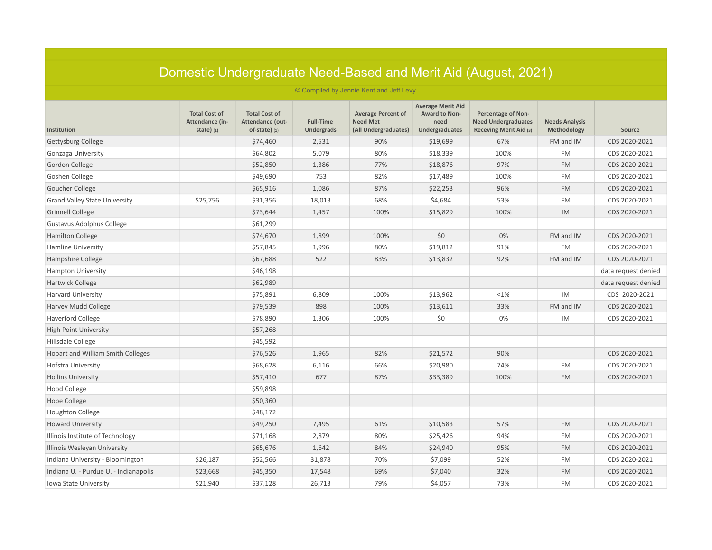|                                       |                                                        |                                                             |                                       |                                                                      |                                                                     | Domestic Undergraduate Need-Based and Merit Aid (August, 2021)                    |                                      |                     |  |  |  |
|---------------------------------------|--------------------------------------------------------|-------------------------------------------------------------|---------------------------------------|----------------------------------------------------------------------|---------------------------------------------------------------------|-----------------------------------------------------------------------------------|--------------------------------------|---------------------|--|--|--|
|                                       | © Compiled by Jennie Kent and Jeff Levy                |                                                             |                                       |                                                                      |                                                                     |                                                                                   |                                      |                     |  |  |  |
| Institution                           | <b>Total Cost of</b><br>Attendance (in-<br>state $(1)$ | <b>Total Cost of</b><br>Attendance (out-<br>$of-state)$ (1) | <b>Full-Time</b><br><b>Undergrads</b> | <b>Average Percent of</b><br><b>Need Met</b><br>(All Undergraduates) | <b>Average Merit Aid</b><br>Award to Non-<br>need<br>Undergraduates | <b>Percentage of Non-</b><br><b>Need Undergraduates</b><br>Receving Merit Aid (3) | <b>Needs Analysis</b><br>Methodology | Source              |  |  |  |
| Gettysburg College                    |                                                        | \$74,460                                                    | 2,531                                 | 90%                                                                  | \$19,699                                                            | 67%                                                                               | FM and IM                            | CDS 2020-2021       |  |  |  |
| Gonzaga University                    |                                                        | \$64,802                                                    | 5,079                                 | 80%                                                                  | \$18,339                                                            | 100%                                                                              | <b>FM</b>                            | CDS 2020-2021       |  |  |  |
| Gordon College                        |                                                        | \$52,850                                                    | 1,386                                 | 77%                                                                  | \$18,876                                                            | 97%                                                                               | <b>FM</b>                            | CDS 2020-2021       |  |  |  |
| Goshen College                        |                                                        | \$49,690                                                    | 753                                   | 82%                                                                  | \$17,489                                                            | 100%                                                                              | <b>FM</b>                            | CDS 2020-2021       |  |  |  |
| Goucher College                       |                                                        | \$65,916                                                    | 1,086                                 | 87%                                                                  | \$22,253                                                            | 96%                                                                               | <b>FM</b>                            | CDS 2020-2021       |  |  |  |
| <b>Grand Valley State University</b>  | \$25,756                                               | \$31,356                                                    | 18,013                                | 68%                                                                  | \$4,684                                                             | 53%                                                                               | <b>FM</b>                            | CDS 2020-2021       |  |  |  |
| <b>Grinnell College</b>               |                                                        | \$73,644                                                    | 1,457                                 | 100%                                                                 | \$15,829                                                            | 100%                                                                              | IM                                   | CDS 2020-2021       |  |  |  |
| Gustavus Adolphus College             |                                                        | \$61,299                                                    |                                       |                                                                      |                                                                     |                                                                                   |                                      |                     |  |  |  |
| Hamilton College                      |                                                        | \$74,670                                                    | 1,899                                 | 100%                                                                 | \$0                                                                 | 0%                                                                                | FM and IM                            | CDS 2020-2021       |  |  |  |
| Hamline University                    |                                                        | \$57,845                                                    | 1,996                                 | 80%                                                                  | \$19,812                                                            | 91%                                                                               | <b>FM</b>                            | CDS 2020-2021       |  |  |  |
| Hampshire College                     |                                                        | \$67,688                                                    | 522                                   | 83%                                                                  | \$13,832                                                            | 92%                                                                               | FM and IM                            | CDS 2020-2021       |  |  |  |
| <b>Hampton University</b>             |                                                        | \$46,198                                                    |                                       |                                                                      |                                                                     |                                                                                   |                                      | data request denied |  |  |  |
| Hartwick College                      |                                                        | \$62,989                                                    |                                       |                                                                      |                                                                     |                                                                                   |                                      | data request denied |  |  |  |
| <b>Harvard University</b>             |                                                        | \$75,891                                                    | 6,809                                 | 100%                                                                 | \$13,962                                                            | <1%                                                                               | IM                                   | CDS 2020-2021       |  |  |  |
| Harvey Mudd College                   |                                                        | \$79,539                                                    | 898                                   | 100%                                                                 | \$13,611                                                            | 33%                                                                               | FM and IM                            | CDS 2020-2021       |  |  |  |
| Haverford College                     |                                                        | \$78,890                                                    | 1,306                                 | 100%                                                                 | \$0                                                                 | 0%                                                                                | IM                                   | CDS 2020-2021       |  |  |  |
| <b>High Point University</b>          |                                                        | \$57,268                                                    |                                       |                                                                      |                                                                     |                                                                                   |                                      |                     |  |  |  |
| Hillsdale College                     |                                                        | \$45,592                                                    |                                       |                                                                      |                                                                     |                                                                                   |                                      |                     |  |  |  |
| Hobart and William Smith Colleges     |                                                        | \$76,526                                                    | 1,965                                 | 82%                                                                  | \$21,572                                                            | 90%                                                                               |                                      | CDS 2020-2021       |  |  |  |
| Hofstra University                    |                                                        | \$68,628                                                    | 6,116                                 | 66%                                                                  | \$20,980                                                            | 74%                                                                               | <b>FM</b>                            | CDS 2020-2021       |  |  |  |
| <b>Hollins University</b>             |                                                        | \$57,410                                                    | 677                                   | 87%                                                                  | \$33,389                                                            | 100%                                                                              | <b>FM</b>                            | CDS 2020-2021       |  |  |  |
| <b>Hood College</b>                   |                                                        | \$59,898                                                    |                                       |                                                                      |                                                                     |                                                                                   |                                      |                     |  |  |  |
| Hope College                          |                                                        | \$50,360                                                    |                                       |                                                                      |                                                                     |                                                                                   |                                      |                     |  |  |  |
| <b>Houghton College</b>               |                                                        | \$48,172                                                    |                                       |                                                                      |                                                                     |                                                                                   |                                      |                     |  |  |  |
| <b>Howard University</b>              |                                                        | \$49,250                                                    | 7,495                                 | 61%                                                                  | \$10,583                                                            | 57%                                                                               | <b>FM</b>                            | CDS 2020-2021       |  |  |  |
| Illinois Institute of Technology      |                                                        | \$71,168                                                    | 2,879                                 | 80%                                                                  | \$25,426                                                            | 94%                                                                               | <b>FM</b>                            | CDS 2020-2021       |  |  |  |
| Illinois Wesleyan University          |                                                        | \$65,676                                                    | 1,642                                 | 84%                                                                  | \$24,940                                                            | 95%                                                                               | <b>FM</b>                            | CDS 2020-2021       |  |  |  |
| Indiana University - Bloomington      | \$26,187                                               | \$52,566                                                    | 31,878                                | 70%                                                                  | \$7,099                                                             | 52%                                                                               | <b>FM</b>                            | CDS 2020-2021       |  |  |  |
| Indiana U. - Purdue U. - Indianapolis | \$23,668                                               | \$45,350                                                    | 17,548                                | 69%                                                                  | \$7,040                                                             | 32%                                                                               | <b>FM</b>                            | CDS 2020-2021       |  |  |  |
| Iowa State University                 | \$21,940                                               | \$37,128                                                    | 26,713                                | 79%                                                                  | \$4,057                                                             | 73%                                                                               | <b>FM</b>                            | CDS 2020-2021       |  |  |  |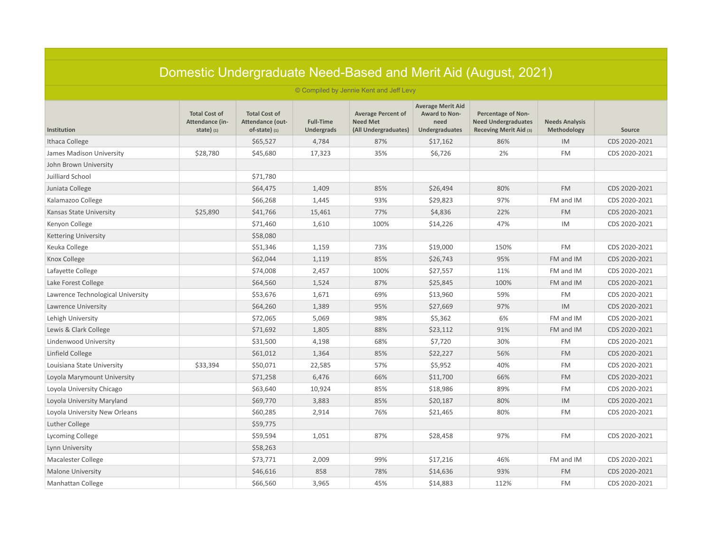|                                         |                                                        |                                                             |                                       |                                                                      |                                                                     | Domestic Undergraduate Need-Based and Merit Aid (August, 2021)                    |                                      |               |  |  |
|-----------------------------------------|--------------------------------------------------------|-------------------------------------------------------------|---------------------------------------|----------------------------------------------------------------------|---------------------------------------------------------------------|-----------------------------------------------------------------------------------|--------------------------------------|---------------|--|--|
| © Compiled by Jennie Kent and Jeff Levy |                                                        |                                                             |                                       |                                                                      |                                                                     |                                                                                   |                                      |               |  |  |
| Institution                             | <b>Total Cost of</b><br>Attendance (in-<br>state $(1)$ | <b>Total Cost of</b><br>Attendance (out-<br>$of-state)$ (1) | <b>Full-Time</b><br><b>Undergrads</b> | <b>Average Percent of</b><br><b>Need Met</b><br>(All Undergraduates) | <b>Average Merit Aid</b><br>Award to Non-<br>need<br>Undergraduates | <b>Percentage of Non-</b><br><b>Need Undergraduates</b><br>Receving Merit Aid (3) | <b>Needs Analysis</b><br>Methodology | Source        |  |  |
| Ithaca College                          |                                                        | \$65,527                                                    | 4,784                                 | 87%                                                                  | \$17,162                                                            | 86%                                                                               | IM                                   | CDS 2020-2021 |  |  |
| James Madison University                | \$28,780                                               | \$45,680                                                    | 17,323                                | 35%                                                                  | \$6,726                                                             | 2%                                                                                | <b>FM</b>                            | CDS 2020-2021 |  |  |
| John Brown University                   |                                                        |                                                             |                                       |                                                                      |                                                                     |                                                                                   |                                      |               |  |  |
| Juilliard School                        |                                                        | \$71,780                                                    |                                       |                                                                      |                                                                     |                                                                                   |                                      |               |  |  |
| Juniata College                         |                                                        | \$64,475                                                    | 1,409                                 | 85%                                                                  | \$26,494                                                            | 80%                                                                               | <b>FM</b>                            | CDS 2020-2021 |  |  |
| Kalamazoo College                       |                                                        | \$66,268                                                    | 1,445                                 | 93%                                                                  | \$29,823                                                            | 97%                                                                               | FM and IM                            | CDS 2020-2021 |  |  |
| Kansas State University                 | \$25,890                                               | \$41,766                                                    | 15,461                                | 77%                                                                  | \$4,836                                                             | 22%                                                                               | <b>FM</b>                            | CDS 2020-2021 |  |  |
| Kenyon College                          |                                                        | \$71,460                                                    | 1,610                                 | 100%                                                                 | \$14,226                                                            | 47%                                                                               | IM                                   | CDS 2020-2021 |  |  |
| <b>Kettering University</b>             |                                                        | \$58,080                                                    |                                       |                                                                      |                                                                     |                                                                                   |                                      |               |  |  |
| Keuka College                           |                                                        | \$51,346                                                    | 1,159                                 | 73%                                                                  | \$19,000                                                            | 150%                                                                              | <b>FM</b>                            | CDS 2020-2021 |  |  |
| Knox College                            |                                                        | \$62,044                                                    | 1,119                                 | 85%                                                                  | \$26,743                                                            | 95%                                                                               | FM and IM                            | CDS 2020-2021 |  |  |
| Lafayette College                       |                                                        | \$74,008                                                    | 2,457                                 | 100%                                                                 | \$27,557                                                            | 11%                                                                               | FM and IM                            | CDS 2020-2021 |  |  |
| Lake Forest College                     |                                                        | \$64,560                                                    | 1,524                                 | 87%                                                                  | \$25,845                                                            | 100%                                                                              | FM and IM                            | CDS 2020-2021 |  |  |
| Lawrence Technological University       |                                                        | \$53,676                                                    | 1,671                                 | 69%                                                                  | \$13,960                                                            | 59%                                                                               | <b>FM</b>                            | CDS 2020-2021 |  |  |
| Lawrence University                     |                                                        | \$64,260                                                    | 1,389                                 | 95%                                                                  | \$27,669                                                            | 97%                                                                               | IM                                   | CDS 2020-2021 |  |  |
| Lehigh University                       |                                                        | \$72,065                                                    | 5,069                                 | 98%                                                                  | \$5,362                                                             | 6%                                                                                | FM and IM                            | CDS 2020-2021 |  |  |
| Lewis & Clark College                   |                                                        | \$71,692                                                    | 1,805                                 | 88%                                                                  | \$23,112                                                            | 91%                                                                               | FM and IM                            | CDS 2020-2021 |  |  |
| Lindenwood University                   |                                                        | \$31,500                                                    | 4,198                                 | 68%                                                                  | \$7,720                                                             | 30%                                                                               | <b>FM</b>                            | CDS 2020-2021 |  |  |
| Linfield College                        |                                                        | \$61,012                                                    | 1,364                                 | 85%                                                                  | \$22,227                                                            | 56%                                                                               | <b>FM</b>                            | CDS 2020-2021 |  |  |
| Louisiana State University              | \$33,394                                               | \$50,071                                                    | 22,585                                | 57%                                                                  | \$5,952                                                             | 40%                                                                               | <b>FM</b>                            | CDS 2020-2021 |  |  |
| Loyola Marymount University             |                                                        | \$71,258                                                    | 6,476                                 | 66%                                                                  | \$11,700                                                            | 66%                                                                               | <b>FM</b>                            | CDS 2020-2021 |  |  |
| Loyola University Chicago               |                                                        | \$63,640                                                    | 10,924                                | 85%                                                                  | \$18,986                                                            | 89%                                                                               | <b>FM</b>                            | CDS 2020-2021 |  |  |
| Loyola University Maryland              |                                                        | \$69,770                                                    | 3,883                                 | 85%                                                                  | \$20,187                                                            | 80%                                                                               | IM                                   | CDS 2020-2021 |  |  |
| Loyola University New Orleans           |                                                        | \$60,285                                                    | 2,914                                 | 76%                                                                  | \$21,465                                                            | 80%                                                                               | <b>FM</b>                            | CDS 2020-2021 |  |  |
| Luther College                          |                                                        | \$59,775                                                    |                                       |                                                                      |                                                                     |                                                                                   |                                      |               |  |  |
| Lycoming College                        |                                                        | \$59,594                                                    | 1,051                                 | 87%                                                                  | \$28,458                                                            | 97%                                                                               | <b>FM</b>                            | CDS 2020-2021 |  |  |
| Lynn University                         |                                                        | \$58,263                                                    |                                       |                                                                      |                                                                     |                                                                                   |                                      |               |  |  |
| <b>Macalester College</b>               |                                                        | \$73,771                                                    | 2,009                                 | 99%                                                                  | \$17,216                                                            | 46%                                                                               | FM and IM                            | CDS 2020-2021 |  |  |
| <b>Malone University</b>                |                                                        | \$46,616                                                    | 858                                   | 78%                                                                  | \$14,636                                                            | 93%                                                                               | <b>FM</b>                            | CDS 2020-2021 |  |  |
| Manhattan College                       |                                                        | \$66,560                                                    | 3,965                                 | 45%                                                                  | \$14,883                                                            | 112%                                                                              | <b>FM</b>                            | CDS 2020-2021 |  |  |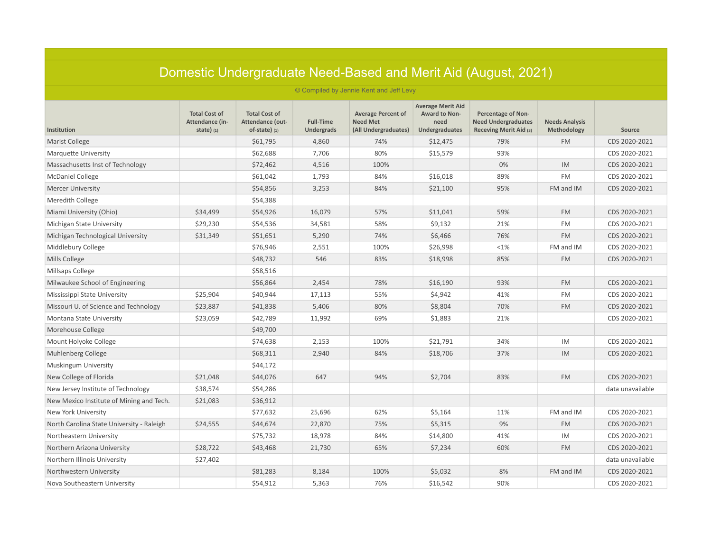|                                           |                                                        |                                                             |                                       |                                                                      |                                                                     | Domestic Undergraduate Need-Based and Merit Aid (August, 2021)                    |                                      |                  |  |  |
|-------------------------------------------|--------------------------------------------------------|-------------------------------------------------------------|---------------------------------------|----------------------------------------------------------------------|---------------------------------------------------------------------|-----------------------------------------------------------------------------------|--------------------------------------|------------------|--|--|
| © Compiled by Jennie Kent and Jeff Levy   |                                                        |                                                             |                                       |                                                                      |                                                                     |                                                                                   |                                      |                  |  |  |
| Institution                               | <b>Total Cost of</b><br>Attendance (in-<br>state $(1)$ | <b>Total Cost of</b><br>Attendance (out-<br>$of-state)$ (1) | <b>Full-Time</b><br><b>Undergrads</b> | <b>Average Percent of</b><br><b>Need Met</b><br>(All Undergraduates) | <b>Average Merit Aid</b><br>Award to Non-<br>need<br>Undergraduates | <b>Percentage of Non-</b><br><b>Need Undergraduates</b><br>Receving Merit Aid (3) | <b>Needs Analysis</b><br>Methodology | Source           |  |  |
| Marist College                            |                                                        | \$61,795                                                    | 4,860                                 | 74%                                                                  | \$12,475                                                            | 79%                                                                               | <b>FM</b>                            | CDS 2020-2021    |  |  |
| <b>Marquette University</b>               |                                                        | \$62,688                                                    | 7,706                                 | 80%                                                                  | \$15,579                                                            | 93%                                                                               |                                      | CDS 2020-2021    |  |  |
| Massachusetts Inst of Technology          |                                                        | \$72,462                                                    | 4,516                                 | 100%                                                                 |                                                                     | 0%                                                                                | IM                                   | CDS 2020-2021    |  |  |
| <b>McDaniel College</b>                   |                                                        | \$61,042                                                    | 1,793                                 | 84%                                                                  | \$16,018                                                            | 89%                                                                               | <b>FM</b>                            | CDS 2020-2021    |  |  |
| <b>Mercer University</b>                  |                                                        | \$54,856                                                    | 3,253                                 | 84%                                                                  | \$21,100                                                            | 95%                                                                               | FM and IM                            | CDS 2020-2021    |  |  |
| Meredith College                          |                                                        | \$54,388                                                    |                                       |                                                                      |                                                                     |                                                                                   |                                      |                  |  |  |
| Miami University (Ohio)                   | \$34,499                                               | \$54,926                                                    | 16,079                                | 57%                                                                  | \$11,041                                                            | 59%                                                                               | <b>FM</b>                            | CDS 2020-2021    |  |  |
| Michigan State University                 | \$29,230                                               | \$54,536                                                    | 34,581                                | 58%                                                                  | \$9,132                                                             | 21%                                                                               | <b>FM</b>                            | CDS 2020-2021    |  |  |
| Michigan Technological University         | \$31,349                                               | \$51,651                                                    | 5,290                                 | 74%                                                                  | \$6,466                                                             | 76%                                                                               | <b>FM</b>                            | CDS 2020-2021    |  |  |
| Middlebury College                        |                                                        | \$76,946                                                    | 2,551                                 | 100%                                                                 | \$26,998                                                            | <1%                                                                               | FM and IM                            | CDS 2020-2021    |  |  |
| Mills College                             |                                                        | \$48,732                                                    | 546                                   | 83%                                                                  | \$18,998                                                            | 85%                                                                               | <b>FM</b>                            | CDS 2020-2021    |  |  |
| Millsaps College                          |                                                        | \$58,516                                                    |                                       |                                                                      |                                                                     |                                                                                   |                                      |                  |  |  |
| Milwaukee School of Engineering           |                                                        | \$56,864                                                    | 2,454                                 | 78%                                                                  | \$16,190                                                            | 93%                                                                               | <b>FM</b>                            | CDS 2020-2021    |  |  |
| Mississippi State University              | \$25,904                                               | \$40,944                                                    | 17,113                                | 55%                                                                  | \$4,942                                                             | 41%                                                                               | <b>FM</b>                            | CDS 2020-2021    |  |  |
| Missouri U. of Science and Technology     | \$23,887                                               | \$41,838                                                    | 5,406                                 | 80%                                                                  | \$8,804                                                             | 70%                                                                               | <b>FM</b>                            | CDS 2020-2021    |  |  |
| Montana State University                  | \$23,059                                               | \$42,789                                                    | 11,992                                | 69%                                                                  | \$1,883                                                             | 21%                                                                               |                                      | CDS 2020-2021    |  |  |
| Morehouse College                         |                                                        | \$49,700                                                    |                                       |                                                                      |                                                                     |                                                                                   |                                      |                  |  |  |
| Mount Holyoke College                     |                                                        | \$74,638                                                    | 2,153                                 | 100%                                                                 | \$21,791                                                            | 34%                                                                               | IM                                   | CDS 2020-2021    |  |  |
| Muhlenberg College                        |                                                        | \$68,311                                                    | 2,940                                 | 84%                                                                  | \$18,706                                                            | 37%                                                                               | IM                                   | CDS 2020-2021    |  |  |
| <b>Muskingum University</b>               |                                                        | \$44,172                                                    |                                       |                                                                      |                                                                     |                                                                                   |                                      |                  |  |  |
| New College of Florida                    | \$21,048                                               | \$44,076                                                    | 647                                   | 94%                                                                  | \$2,704                                                             | 83%                                                                               | <b>FM</b>                            | CDS 2020-2021    |  |  |
| New Jersey Institute of Technology        | \$38,574                                               | \$54,286                                                    |                                       |                                                                      |                                                                     |                                                                                   |                                      | data unavailable |  |  |
| New Mexico Institute of Mining and Tech.  | \$21,083                                               | \$36,912                                                    |                                       |                                                                      |                                                                     |                                                                                   |                                      |                  |  |  |
| New York University                       |                                                        | \$77,632                                                    | 25,696                                | 62%                                                                  | \$5,164                                                             | 11%                                                                               | FM and IM                            | CDS 2020-2021    |  |  |
| North Carolina State University - Raleigh | \$24,555                                               | \$44,674                                                    | 22,870                                | 75%                                                                  | \$5,315                                                             | 9%                                                                                | <b>FM</b>                            | CDS 2020-2021    |  |  |
| Northeastern University                   |                                                        | \$75,732                                                    | 18,978                                | 84%                                                                  | \$14,800                                                            | 41%                                                                               | IM                                   | CDS 2020-2021    |  |  |
| Northern Arizona University               | \$28,722                                               | \$43,468                                                    | 21,730                                | 65%                                                                  | \$7,234                                                             | 60%                                                                               | <b>FM</b>                            | CDS 2020-2021    |  |  |
| Northern Illinois University              | \$27,402                                               |                                                             |                                       |                                                                      |                                                                     |                                                                                   |                                      | data unavailable |  |  |
| Northwestern University                   |                                                        | \$81,283                                                    | 8,184                                 | 100%                                                                 | \$5,032                                                             | 8%                                                                                | FM and IM                            | CDS 2020-2021    |  |  |
| Nova Southeastern University              |                                                        | \$54,912                                                    | 5,363                                 | 76%                                                                  | \$16,542                                                            | 90%                                                                               |                                      | CDS 2020-2021    |  |  |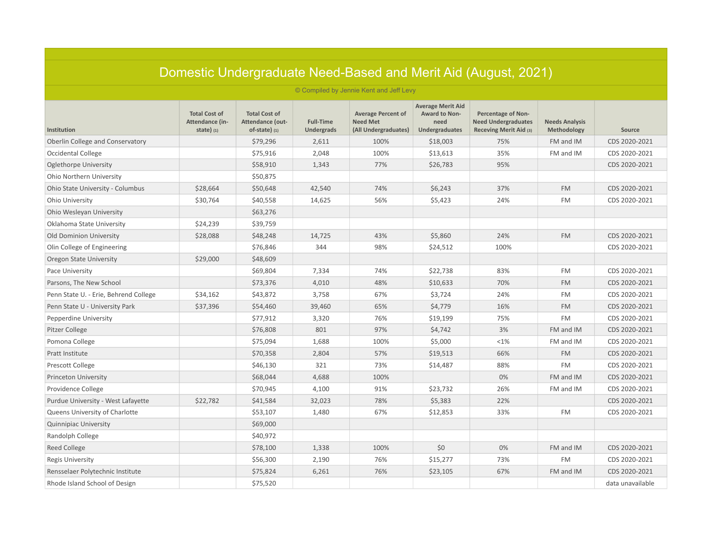| Domestic Undergraduate Need-Based and Merit Aid (August, 2021) |                                                        |                                                             |                                       |                                                                      |                                                                            |                                                                                   |                                      |                  |  |  |
|----------------------------------------------------------------|--------------------------------------------------------|-------------------------------------------------------------|---------------------------------------|----------------------------------------------------------------------|----------------------------------------------------------------------------|-----------------------------------------------------------------------------------|--------------------------------------|------------------|--|--|
|                                                                |                                                        |                                                             |                                       | © Compiled by Jennie Kent and Jeff Levy                              |                                                                            |                                                                                   |                                      |                  |  |  |
| Institution                                                    | <b>Total Cost of</b><br>Attendance (in-<br>state $(1)$ | <b>Total Cost of</b><br>Attendance (out-<br>$of-state)$ (1) | <b>Full-Time</b><br><b>Undergrads</b> | <b>Average Percent of</b><br><b>Need Met</b><br>(All Undergraduates) | <b>Average Merit Aid</b><br><b>Award to Non-</b><br>need<br>Undergraduates | <b>Percentage of Non-</b><br><b>Need Undergraduates</b><br>Receving Merit Aid (3) | <b>Needs Analysis</b><br>Methodology | Source           |  |  |
| Oberlin College and Conservatory                               |                                                        | \$79,296                                                    | 2,611                                 | 100%                                                                 | \$18,003                                                                   | 75%                                                                               | FM and IM                            | CDS 2020-2021    |  |  |
| <b>Occidental College</b>                                      |                                                        | \$75,916                                                    | 2,048                                 | 100%                                                                 | \$13,613                                                                   | 35%                                                                               | FM and IM                            | CDS 2020-2021    |  |  |
| Oglethorpe University                                          |                                                        | \$58,910                                                    | 1,343                                 | 77%                                                                  | \$26,783                                                                   | 95%                                                                               |                                      | CDS 2020-2021    |  |  |
| Ohio Northern University                                       |                                                        | \$50,875                                                    |                                       |                                                                      |                                                                            |                                                                                   |                                      |                  |  |  |
| Ohio State University - Columbus                               | \$28,664                                               | \$50,648                                                    | 42,540                                | 74%                                                                  | \$6,243                                                                    | 37%                                                                               | <b>FM</b>                            | CDS 2020-2021    |  |  |
| Ohio University                                                | \$30,764                                               | \$40,558                                                    | 14,625                                | 56%                                                                  | \$5,423                                                                    | 24%                                                                               | <b>FM</b>                            | CDS 2020-2021    |  |  |
| Ohio Wesleyan University                                       |                                                        | \$63,276                                                    |                                       |                                                                      |                                                                            |                                                                                   |                                      |                  |  |  |
| Oklahoma State University                                      | \$24,239                                               | \$39,759                                                    |                                       |                                                                      |                                                                            |                                                                                   |                                      |                  |  |  |
| <b>Old Dominion University</b>                                 | \$28,088                                               | \$48,248                                                    | 14,725                                | 43%                                                                  | \$5,860                                                                    | 24%                                                                               | <b>FM</b>                            | CDS 2020-2021    |  |  |
| Olin College of Engineering                                    |                                                        | \$76,846                                                    | 344                                   | 98%                                                                  | \$24,512                                                                   | 100%                                                                              |                                      | CDS 2020-2021    |  |  |
| Oregon State University                                        | \$29,000                                               | \$48,609                                                    |                                       |                                                                      |                                                                            |                                                                                   |                                      |                  |  |  |
| Pace University                                                |                                                        | \$69,804                                                    | 7,334                                 | 74%                                                                  | \$22,738                                                                   | 83%                                                                               | <b>FM</b>                            | CDS 2020-2021    |  |  |
| Parsons, The New School                                        |                                                        | \$73,376                                                    | 4,010                                 | 48%                                                                  | \$10,633                                                                   | 70%                                                                               | <b>FM</b>                            | CDS 2020-2021    |  |  |
| Penn State U. - Erie, Behrend College                          | \$34,162                                               | \$43,872                                                    | 3,758                                 | 67%                                                                  | \$3,724                                                                    | 24%                                                                               | <b>FM</b>                            | CDS 2020-2021    |  |  |
| Penn State U - University Park                                 | \$37,396                                               | \$54,460                                                    | 39,460                                | 65%                                                                  | \$4,779                                                                    | 16%                                                                               | <b>FM</b>                            | CDS 2020-2021    |  |  |
| Pepperdine University                                          |                                                        | \$77,912                                                    | 3,320                                 | 76%                                                                  | \$19,199                                                                   | 75%                                                                               | <b>FM</b>                            | CDS 2020-2021    |  |  |
| Pitzer College                                                 |                                                        | \$76,808                                                    | 801                                   | 97%                                                                  | \$4,742                                                                    | 3%                                                                                | FM and IM                            | CDS 2020-2021    |  |  |
| Pomona College                                                 |                                                        | \$75,094                                                    | 1,688                                 | 100%                                                                 | \$5,000                                                                    | <1%                                                                               | FM and IM                            | CDS 2020-2021    |  |  |
| Pratt Institute                                                |                                                        | \$70,358                                                    | 2,804                                 | 57%                                                                  | \$19,513                                                                   | 66%                                                                               | <b>FM</b>                            | CDS 2020-2021    |  |  |
| <b>Prescott College</b>                                        |                                                        | \$46,130                                                    | 321                                   | 73%                                                                  | \$14,487                                                                   | 88%                                                                               | <b>FM</b>                            | CDS 2020-2021    |  |  |
| Princeton University                                           |                                                        | \$68,044                                                    | 4,688                                 | 100%                                                                 |                                                                            | 0%                                                                                | FM and IM                            | CDS 2020-2021    |  |  |
| Providence College                                             |                                                        | \$70,945                                                    | 4,100                                 | 91%                                                                  | \$23,732                                                                   | 26%                                                                               | FM and IM                            | CDS 2020-2021    |  |  |
| Purdue University - West Lafayette                             | \$22,782                                               | \$41,584                                                    | 32,023                                | 78%                                                                  | \$5,383                                                                    | 22%                                                                               |                                      | CDS 2020-2021    |  |  |
| Queens University of Charlotte                                 |                                                        | \$53,107                                                    | 1,480                                 | 67%                                                                  | \$12,853                                                                   | 33%                                                                               | <b>FM</b>                            | CDS 2020-2021    |  |  |
| <b>Quinnipiac University</b>                                   |                                                        | \$69,000                                                    |                                       |                                                                      |                                                                            |                                                                                   |                                      |                  |  |  |
| Randolph College                                               |                                                        | \$40,972                                                    |                                       |                                                                      |                                                                            |                                                                                   |                                      |                  |  |  |
| Reed College                                                   |                                                        | \$78,100                                                    | 1,338                                 | 100%                                                                 | \$0                                                                        | 0%                                                                                | FM and IM                            | CDS 2020-2021    |  |  |
| Regis University                                               |                                                        | \$56,300                                                    | 2,190                                 | 76%                                                                  | \$15,277                                                                   | 73%                                                                               | <b>FM</b>                            | CDS 2020-2021    |  |  |
| Rensselaer Polytechnic Institute                               |                                                        | \$75,824                                                    | 6,261                                 | 76%                                                                  | \$23,105                                                                   | 67%                                                                               | FM and IM                            | CDS 2020-2021    |  |  |
| Rhode Island School of Design                                  |                                                        | \$75,520                                                    |                                       |                                                                      |                                                                            |                                                                                   |                                      | data unavailable |  |  |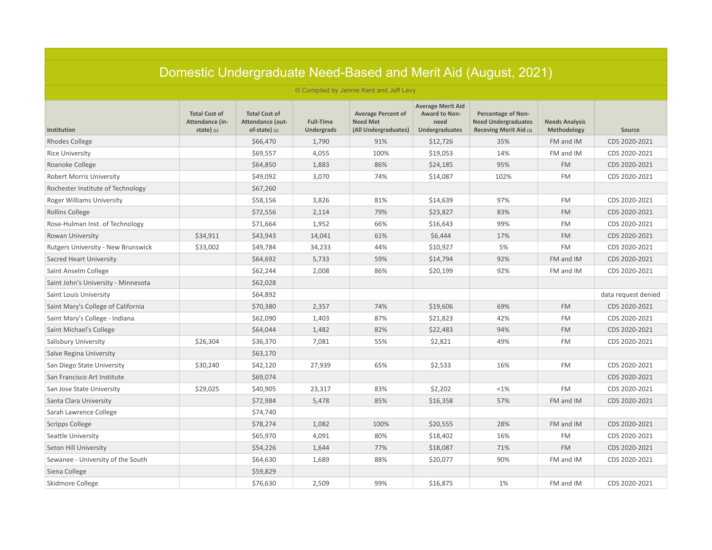|                                         |                                                                                                  |                                                             |                                       |                                                                      |                                                                            | Domestic Undergraduate Need-Based and Merit Aid (August, 2021)                    |                                      |                     |  |  |
|-----------------------------------------|--------------------------------------------------------------------------------------------------|-------------------------------------------------------------|---------------------------------------|----------------------------------------------------------------------|----------------------------------------------------------------------------|-----------------------------------------------------------------------------------|--------------------------------------|---------------------|--|--|
| © Compiled by Jennie Kent and Jeff Levy |                                                                                                  |                                                             |                                       |                                                                      |                                                                            |                                                                                   |                                      |                     |  |  |
| Institution                             | <b>Total Cost of</b><br>Attendance (in-<br>state $\left( \begin{array}{c} 1 \end{array} \right)$ | <b>Total Cost of</b><br>Attendance (out-<br>$of-state)$ (1) | <b>Full-Time</b><br><b>Undergrads</b> | <b>Average Percent of</b><br><b>Need Met</b><br>(All Undergraduates) | <b>Average Merit Aid</b><br>Award to Non-<br>need<br><b>Undergraduates</b> | <b>Percentage of Non-</b><br><b>Need Undergraduates</b><br>Receving Merit Aid (3) | <b>Needs Analysis</b><br>Methodology | Source              |  |  |
| <b>Rhodes College</b>                   |                                                                                                  | \$66,470                                                    | 1,790                                 | 91%                                                                  | \$12,726                                                                   | 35%                                                                               | FM and IM                            | CDS 2020-2021       |  |  |
| <b>Rice University</b>                  |                                                                                                  | \$69,557                                                    | 4,055                                 | 100%                                                                 | \$19,053                                                                   | 14%                                                                               | FM and IM                            | CDS 2020-2021       |  |  |
| Roanoke College                         |                                                                                                  | \$64,850                                                    | 1,883                                 | 86%                                                                  | \$24,185                                                                   | 95%                                                                               | <b>FM</b>                            | CDS 2020-2021       |  |  |
| <b>Robert Morris University</b>         |                                                                                                  | \$49,092                                                    | 3,070                                 | 74%                                                                  | \$14,087                                                                   | 102%                                                                              | <b>FM</b>                            | CDS 2020-2021       |  |  |
| Rochester Institute of Technology       |                                                                                                  | \$67,260                                                    |                                       |                                                                      |                                                                            |                                                                                   |                                      |                     |  |  |
| Roger Williams University               |                                                                                                  | \$58,156                                                    | 3,826                                 | 81%                                                                  | \$14,639                                                                   | 97%                                                                               | <b>FM</b>                            | CDS 2020-2021       |  |  |
| Rollins College                         |                                                                                                  | \$72,556                                                    | 2,114                                 | 79%                                                                  | \$23,827                                                                   | 83%                                                                               | <b>FM</b>                            | CDS 2020-2021       |  |  |
| Rose-Hulman Inst. of Technology         |                                                                                                  | \$71,664                                                    | 1,952                                 | 66%                                                                  | \$16,643                                                                   | 99%                                                                               | <b>FM</b>                            | CDS 2020-2021       |  |  |
| Rowan University                        | \$34,911                                                                                         | \$43,943                                                    | 14,041                                | 61%                                                                  | \$6,444                                                                    | 17%                                                                               | <b>FM</b>                            | CDS 2020-2021       |  |  |
| Rutgers University - New Brunswick      | \$33,002                                                                                         | \$49,784                                                    | 34,233                                | 44%                                                                  | \$10,927                                                                   | 5%                                                                                | <b>FM</b>                            | CDS 2020-2021       |  |  |
| Sacred Heart University                 |                                                                                                  | \$64,692                                                    | 5,733                                 | 59%                                                                  | \$14,794                                                                   | 92%                                                                               | FM and IM                            | CDS 2020-2021       |  |  |
| Saint Anselm College                    |                                                                                                  | \$62,244                                                    | 2,008                                 | 86%                                                                  | \$20,199                                                                   | 92%                                                                               | FM and IM                            | CDS 2020-2021       |  |  |
| Saint John's University - Minnesota     |                                                                                                  | \$62,028                                                    |                                       |                                                                      |                                                                            |                                                                                   |                                      |                     |  |  |
| Saint Louis University                  |                                                                                                  | \$64,892                                                    |                                       |                                                                      |                                                                            |                                                                                   |                                      | data request denied |  |  |
| Saint Mary's College of California      |                                                                                                  | \$70,380                                                    | 2,357                                 | 74%                                                                  | \$19,606                                                                   | 69%                                                                               | <b>FM</b>                            | CDS 2020-2021       |  |  |
| Saint Mary's College - Indiana          |                                                                                                  | \$62,090                                                    | 1,403                                 | 87%                                                                  | \$21,823                                                                   | 42%                                                                               | <b>FM</b>                            | CDS 2020-2021       |  |  |
| Saint Michael's College                 |                                                                                                  | \$64,044                                                    | 1,482                                 | 82%                                                                  | \$22,483                                                                   | 94%                                                                               | <b>FM</b>                            | CDS 2020-2021       |  |  |
| Salisbury University                    | \$26,304                                                                                         | \$36,370                                                    | 7,081                                 | 55%                                                                  | \$2,821                                                                    | 49%                                                                               | <b>FM</b>                            | CDS 2020-2021       |  |  |
| Salve Regina University                 |                                                                                                  | \$63,170                                                    |                                       |                                                                      |                                                                            |                                                                                   |                                      |                     |  |  |
| San Diego State University              | \$30,240                                                                                         | \$42,120                                                    | 27,939                                | 65%                                                                  | \$2,533                                                                    | 16%                                                                               | <b>FM</b>                            | CDS 2020-2021       |  |  |
| San Francisco Art Institute             |                                                                                                  | \$69,074                                                    |                                       |                                                                      |                                                                            |                                                                                   |                                      | CDS 2020-2021       |  |  |
| San Jose State University               | \$29,025                                                                                         | \$40,905                                                    | 23,317                                | 83%                                                                  | \$2,202                                                                    | <1%                                                                               | <b>FM</b>                            | CDS 2020-2021       |  |  |
| Santa Clara University                  |                                                                                                  | \$72,984                                                    | 5,478                                 | 85%                                                                  | \$16,358                                                                   | 57%                                                                               | FM and IM                            | CDS 2020-2021       |  |  |
| Sarah Lawrence College                  |                                                                                                  | \$74,740                                                    |                                       |                                                                      |                                                                            |                                                                                   |                                      |                     |  |  |
| <b>Scripps College</b>                  |                                                                                                  | \$78,274                                                    | 1,082                                 | 100%                                                                 | \$20,555                                                                   | 28%                                                                               | FM and IM                            | CDS 2020-2021       |  |  |
| Seattle University                      |                                                                                                  | \$65,970                                                    | 4,091                                 | 80%                                                                  | \$18,402                                                                   | 16%                                                                               | <b>FM</b>                            | CDS 2020-2021       |  |  |
| Seton Hill University                   |                                                                                                  | \$54,226                                                    | 1,644                                 | 77%                                                                  | \$18,087                                                                   | 71%                                                                               | <b>FM</b>                            | CDS 2020-2021       |  |  |
| Sewanee - University of the South       |                                                                                                  | \$64,630                                                    | 1,689                                 | 88%                                                                  | \$20,077                                                                   | 90%                                                                               | FM and IM                            | CDS 2020-2021       |  |  |
| Siena College                           |                                                                                                  | \$59,829                                                    |                                       |                                                                      |                                                                            |                                                                                   |                                      |                     |  |  |
| Skidmore College                        |                                                                                                  | \$76,630                                                    | 2,509                                 | 99%                                                                  | \$16,875                                                                   | 1%                                                                                | FM and IM                            | CDS 2020-2021       |  |  |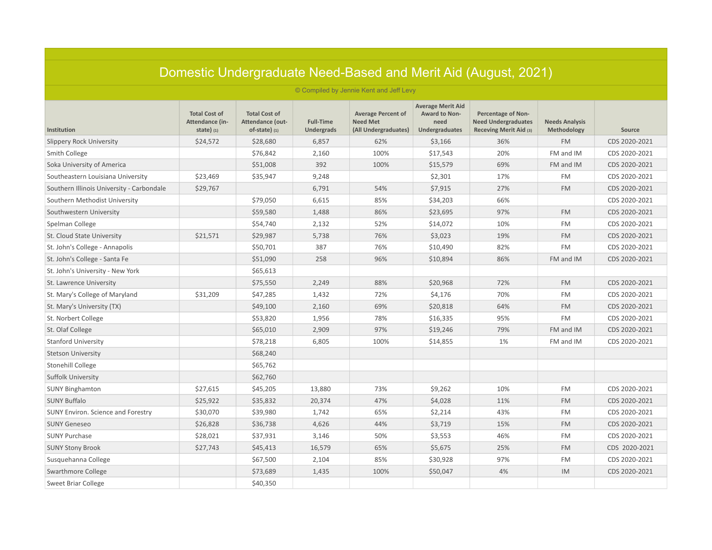|                                           |                                                        |                                                             |                                       |                                                                      |                                                                     | Domestic Undergraduate Need-Based and Merit Aid (August, 2021)                    |                                      |               |  |  |
|-------------------------------------------|--------------------------------------------------------|-------------------------------------------------------------|---------------------------------------|----------------------------------------------------------------------|---------------------------------------------------------------------|-----------------------------------------------------------------------------------|--------------------------------------|---------------|--|--|
| © Compiled by Jennie Kent and Jeff Levy   |                                                        |                                                             |                                       |                                                                      |                                                                     |                                                                                   |                                      |               |  |  |
| Institution                               | <b>Total Cost of</b><br>Attendance (in-<br>state $(1)$ | <b>Total Cost of</b><br>Attendance (out-<br>$of-state)$ (1) | <b>Full-Time</b><br><b>Undergrads</b> | <b>Average Percent of</b><br><b>Need Met</b><br>(All Undergraduates) | <b>Average Merit Aid</b><br>Award to Non-<br>need<br>Undergraduates | <b>Percentage of Non-</b><br><b>Need Undergraduates</b><br>Receving Merit Aid (3) | <b>Needs Analysis</b><br>Methodology | Source        |  |  |
| <b>Slippery Rock University</b>           | \$24,572                                               | \$28,680                                                    | 6,857                                 | 62%                                                                  | \$3,166                                                             | 36%                                                                               | <b>FM</b>                            | CDS 2020-2021 |  |  |
| Smith College                             |                                                        | \$76,842                                                    | 2,160                                 | 100%                                                                 | \$17,543                                                            | 20%                                                                               | FM and IM                            | CDS 2020-2021 |  |  |
| Soka University of America                |                                                        | \$51,008                                                    | 392                                   | 100%                                                                 | \$15,579                                                            | 69%                                                                               | FM and IM                            | CDS 2020-2021 |  |  |
| Southeastern Louisiana University         | \$23,469                                               | \$35,947                                                    | 9,248                                 |                                                                      | \$2,301                                                             | 17%                                                                               | <b>FM</b>                            | CDS 2020-2021 |  |  |
| Southern Illinois University - Carbondale | \$29,767                                               |                                                             | 6,791                                 | 54%                                                                  | \$7,915                                                             | 27%                                                                               | <b>FM</b>                            | CDS 2020-2021 |  |  |
| Southern Methodist University             |                                                        | \$79,050                                                    | 6,615                                 | 85%                                                                  | \$34,203                                                            | 66%                                                                               |                                      | CDS 2020-2021 |  |  |
| Southwestern University                   |                                                        | \$59,580                                                    | 1,488                                 | 86%                                                                  | \$23,695                                                            | 97%                                                                               | <b>FM</b>                            | CDS 2020-2021 |  |  |
| Spelman College                           |                                                        | \$54,740                                                    | 2,132                                 | 52%                                                                  | \$14,072                                                            | 10%                                                                               | <b>FM</b>                            | CDS 2020-2021 |  |  |
| St. Cloud State University                | \$21,571                                               | \$29,987                                                    | 5,738                                 | 76%                                                                  | \$3,023                                                             | 19%                                                                               | <b>FM</b>                            | CDS 2020-2021 |  |  |
| St. John's College - Annapolis            |                                                        | \$50,701                                                    | 387                                   | 76%                                                                  | \$10,490                                                            | 82%                                                                               | <b>FM</b>                            | CDS 2020-2021 |  |  |
| St. John's College - Santa Fe             |                                                        | \$51,090                                                    | 258                                   | 96%                                                                  | \$10,894                                                            | 86%                                                                               | FM and IM                            | CDS 2020-2021 |  |  |
| St. John's University - New York          |                                                        | \$65,613                                                    |                                       |                                                                      |                                                                     |                                                                                   |                                      |               |  |  |
| St. Lawrence University                   |                                                        | \$75,550                                                    | 2,249                                 | 88%                                                                  | \$20,968                                                            | 72%                                                                               | <b>FM</b>                            | CDS 2020-2021 |  |  |
| St. Mary's College of Maryland            | \$31,209                                               | \$47,285                                                    | 1,432                                 | 72%                                                                  | \$4,176                                                             | 70%                                                                               | <b>FM</b>                            | CDS 2020-2021 |  |  |
| St. Mary's University (TX)                |                                                        | \$49,100                                                    | 2,160                                 | 69%                                                                  | \$20,818                                                            | 64%                                                                               | <b>FM</b>                            | CDS 2020-2021 |  |  |
| St. Norbert College                       |                                                        | \$53,820                                                    | 1,956                                 | 78%                                                                  | \$16,335                                                            | 95%                                                                               | <b>FM</b>                            | CDS 2020-2021 |  |  |
| St. Olaf College                          |                                                        | \$65,010                                                    | 2,909                                 | 97%                                                                  | \$19,246                                                            | 79%                                                                               | FM and IM                            | CDS 2020-2021 |  |  |
| <b>Stanford University</b>                |                                                        | \$78,218                                                    | 6,805                                 | 100%                                                                 | \$14,855                                                            | 1%                                                                                | FM and IM                            | CDS 2020-2021 |  |  |
| <b>Stetson University</b>                 |                                                        | \$68,240                                                    |                                       |                                                                      |                                                                     |                                                                                   |                                      |               |  |  |
| Stonehill College                         |                                                        | \$65,762                                                    |                                       |                                                                      |                                                                     |                                                                                   |                                      |               |  |  |
| <b>Suffolk University</b>                 |                                                        | \$62,760                                                    |                                       |                                                                      |                                                                     |                                                                                   |                                      |               |  |  |
| <b>SUNY Binghamton</b>                    | \$27,615                                               | \$45,205                                                    | 13,880                                | 73%                                                                  | \$9,262                                                             | 10%                                                                               | <b>FM</b>                            | CDS 2020-2021 |  |  |
| <b>SUNY Buffalo</b>                       | \$25,922                                               | \$35,832                                                    | 20,374                                | 47%                                                                  | \$4,028                                                             | 11%                                                                               | <b>FM</b>                            | CDS 2020-2021 |  |  |
| SUNY Environ. Science and Forestry        | \$30,070                                               | \$39,980                                                    | 1,742                                 | 65%                                                                  | \$2,214                                                             | 43%                                                                               | <b>FM</b>                            | CDS 2020-2021 |  |  |
| <b>SUNY Geneseo</b>                       | \$26,828                                               | \$36,738                                                    | 4,626                                 | 44%                                                                  | \$3,719                                                             | 15%                                                                               | <b>FM</b>                            | CDS 2020-2021 |  |  |
| <b>SUNY Purchase</b>                      | \$28,021                                               | \$37,931                                                    | 3,146                                 | 50%                                                                  | \$3,553                                                             | 46%                                                                               | <b>FM</b>                            | CDS 2020-2021 |  |  |
| <b>SUNY Stony Brook</b>                   | \$27,743                                               | \$45,413                                                    | 16,579                                | 65%                                                                  | \$5,675                                                             | 25%                                                                               | <b>FM</b>                            | CDS 2020-2021 |  |  |
| Susquehanna College                       |                                                        | \$67,500                                                    | 2,104                                 | 85%                                                                  | \$30,928                                                            | 97%                                                                               | <b>FM</b>                            | CDS 2020-2021 |  |  |
| Swarthmore College                        |                                                        | \$73,689                                                    | 1,435                                 | 100%                                                                 | \$50,047                                                            | 4%                                                                                | IM                                   | CDS 2020-2021 |  |  |
| <b>Sweet Briar College</b>                |                                                        | \$40,350                                                    |                                       |                                                                      |                                                                     |                                                                                   |                                      |               |  |  |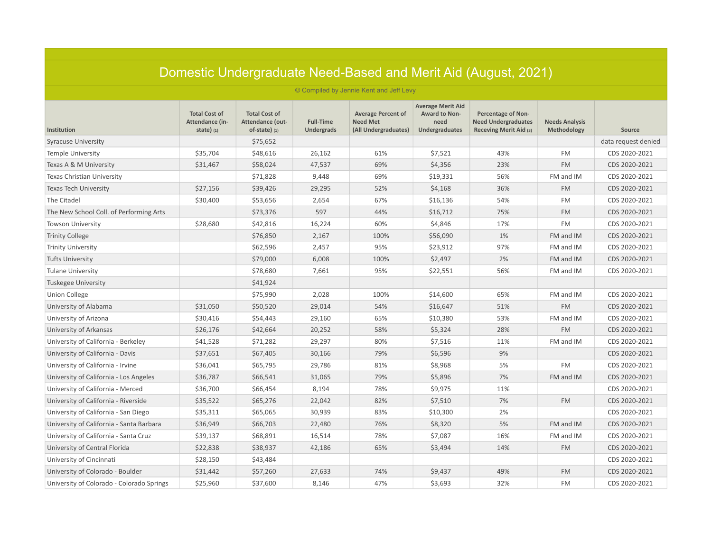| Domestic Undergraduate Need-Based and Merit Aid (August, 2021) |                                                        |                                                             |                                       |                                                                      |                                                                     |                                                                            |                                      |                     |  |  |  |
|----------------------------------------------------------------|--------------------------------------------------------|-------------------------------------------------------------|---------------------------------------|----------------------------------------------------------------------|---------------------------------------------------------------------|----------------------------------------------------------------------------|--------------------------------------|---------------------|--|--|--|
| © Compiled by Jennie Kent and Jeff Levy                        |                                                        |                                                             |                                       |                                                                      |                                                                     |                                                                            |                                      |                     |  |  |  |
| Institution                                                    | <b>Total Cost of</b><br>Attendance (in-<br>state $(1)$ | <b>Total Cost of</b><br>Attendance (out-<br>$of-state)$ (1) | <b>Full-Time</b><br><b>Undergrads</b> | <b>Average Percent of</b><br><b>Need Met</b><br>(All Undergraduates) | <b>Average Merit Aid</b><br>Award to Non-<br>need<br>Undergraduates | Percentage of Non-<br><b>Need Undergraduates</b><br>Receving Merit Aid (3) | <b>Needs Analysis</b><br>Methodology | Source              |  |  |  |
| <b>Syracuse University</b>                                     |                                                        | \$75,652                                                    |                                       |                                                                      |                                                                     |                                                                            |                                      | data request denied |  |  |  |
| <b>Temple University</b>                                       | \$35,704                                               | \$48,616                                                    | 26,162                                | 61%                                                                  | \$7,521                                                             | 43%                                                                        | <b>FM</b>                            | CDS 2020-2021       |  |  |  |
| Texas A & M University                                         | \$31,467                                               | \$58,024                                                    | 47,537                                | 69%                                                                  | \$4,356                                                             | 23%                                                                        | <b>FM</b>                            | CDS 2020-2021       |  |  |  |
| Texas Christian University                                     |                                                        | \$71,828                                                    | 9,448                                 | 69%                                                                  | \$19,331                                                            | 56%                                                                        | FM and IM                            | CDS 2020-2021       |  |  |  |
| <b>Texas Tech University</b>                                   | \$27,156                                               | \$39,426                                                    | 29,295                                | 52%                                                                  | \$4,168                                                             | 36%                                                                        | <b>FM</b>                            | CDS 2020-2021       |  |  |  |
| The Citadel                                                    | \$30,400                                               | \$53,656                                                    | 2,654                                 | 67%                                                                  | \$16,136                                                            | 54%                                                                        | <b>FM</b>                            | CDS 2020-2021       |  |  |  |
| The New School Coll. of Performing Arts                        |                                                        | \$73,376                                                    | 597                                   | 44%                                                                  | \$16,712                                                            | 75%                                                                        | <b>FM</b>                            | CDS 2020-2021       |  |  |  |
| <b>Towson University</b>                                       | \$28,680                                               | \$42,816                                                    | 16,224                                | 60%                                                                  | \$4,846                                                             | 17%                                                                        | <b>FM</b>                            | CDS 2020-2021       |  |  |  |
| <b>Trinity College</b>                                         |                                                        | \$76,850                                                    | 2,167                                 | 100%                                                                 | \$56,090                                                            | 1%                                                                         | FM and IM                            | CDS 2020-2021       |  |  |  |
| <b>Trinity University</b>                                      |                                                        | \$62,596                                                    | 2,457                                 | 95%                                                                  | \$23,912                                                            | 97%                                                                        | FM and IM                            | CDS 2020-2021       |  |  |  |
| <b>Tufts University</b>                                        |                                                        | \$79,000                                                    | 6,008                                 | 100%                                                                 | \$2,497                                                             | 2%                                                                         | FM and IM                            | CDS 2020-2021       |  |  |  |
| <b>Tulane University</b>                                       |                                                        | \$78,680                                                    | 7,661                                 | 95%                                                                  | \$22,551                                                            | 56%                                                                        | FM and IM                            | CDS 2020-2021       |  |  |  |
| <b>Tuskegee University</b>                                     |                                                        | \$41,924                                                    |                                       |                                                                      |                                                                     |                                                                            |                                      |                     |  |  |  |
| <b>Union College</b>                                           |                                                        | \$75,990                                                    | 2,028                                 | 100%                                                                 | \$14,600                                                            | 65%                                                                        | FM and IM                            | CDS 2020-2021       |  |  |  |
| University of Alabama                                          | \$31,050                                               | \$50,520                                                    | 29,014                                | 54%                                                                  | \$16,647                                                            | 51%                                                                        | <b>FM</b>                            | CDS 2020-2021       |  |  |  |
| University of Arizona                                          | \$30,416                                               | \$54,443                                                    | 29,160                                | 65%                                                                  | \$10,380                                                            | 53%                                                                        | FM and IM                            | CDS 2020-2021       |  |  |  |
| University of Arkansas                                         | \$26,176                                               | \$42,664                                                    | 20,252                                | 58%                                                                  | \$5,324                                                             | 28%                                                                        | <b>FM</b>                            | CDS 2020-2021       |  |  |  |
| University of California - Berkeley                            | \$41,528                                               | \$71,282                                                    | 29,297                                | 80%                                                                  | \$7,516                                                             | 11%                                                                        | FM and IM                            | CDS 2020-2021       |  |  |  |
| University of California - Davis                               | \$37,651                                               | \$67,405                                                    | 30,166                                | 79%                                                                  | \$6,596                                                             | 9%                                                                         |                                      | CDS 2020-2021       |  |  |  |
| University of California - Irvine                              | \$36,041                                               | \$65,795                                                    | 29,786                                | 81%                                                                  | \$8,968                                                             | 5%                                                                         | <b>FM</b>                            | CDS 2020-2021       |  |  |  |
| University of California - Los Angeles                         | \$36,787                                               | \$66,541                                                    | 31,065                                | 79%                                                                  | \$5,896                                                             | 7%                                                                         | FM and IM                            | CDS 2020-2021       |  |  |  |
| University of California - Merced                              | \$36,700                                               | \$66,454                                                    | 8,194                                 | 78%                                                                  | \$9,975                                                             | 11%                                                                        |                                      | CDS 2020-2021       |  |  |  |
| University of California - Riverside                           | \$35,522                                               | \$65,276                                                    | 22,042                                | 82%                                                                  | \$7,510                                                             | 7%                                                                         | <b>FM</b>                            | CDS 2020-2021       |  |  |  |
| University of California - San Diego                           | \$35,311                                               | \$65,065                                                    | 30,939                                | 83%                                                                  | \$10,300                                                            | 2%                                                                         |                                      | CDS 2020-2021       |  |  |  |
| University of California - Santa Barbara                       | \$36,949                                               | \$66,703                                                    | 22,480                                | 76%                                                                  | \$8,320                                                             | 5%                                                                         | FM and IM                            | CDS 2020-2021       |  |  |  |
| University of California - Santa Cruz                          | \$39,137                                               | \$68,891                                                    | 16,514                                | 78%                                                                  | \$7,087                                                             | 16%                                                                        | FM and IM                            | CDS 2020-2021       |  |  |  |
| University of Central Florida                                  | \$22,838                                               | \$38,937                                                    | 42,186                                | 65%                                                                  | \$3,494                                                             | 14%                                                                        | <b>FM</b>                            | CDS 2020-2021       |  |  |  |
| University of Cincinnati                                       | \$28,150                                               | \$43,484                                                    |                                       |                                                                      |                                                                     |                                                                            |                                      | CDS 2020-2021       |  |  |  |
| University of Colorado - Boulder                               | \$31,442                                               | \$57,260                                                    | 27,633                                | 74%                                                                  | \$9,437                                                             | 49%                                                                        | <b>FM</b>                            | CDS 2020-2021       |  |  |  |
| University of Colorado - Colorado Springs                      | \$25,960                                               | \$37,600                                                    | 8,146                                 | 47%                                                                  | \$3,693                                                             | 32%                                                                        | <b>FM</b>                            | CDS 2020-2021       |  |  |  |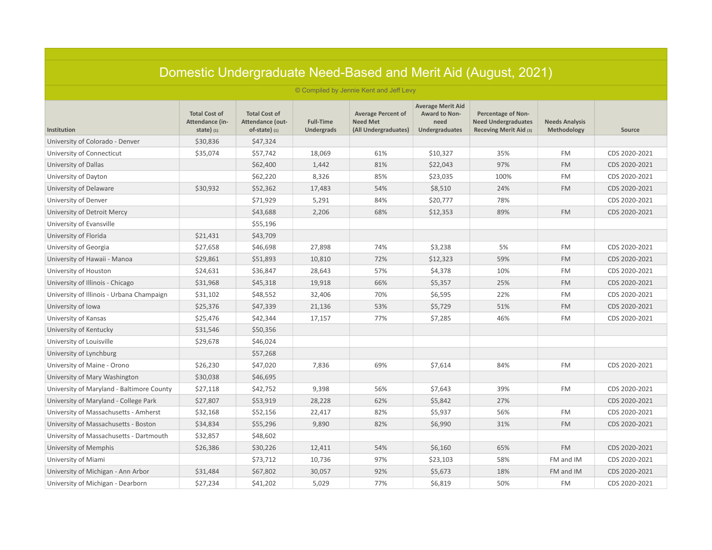|                                           |                                                        |                                                             |                                       |                                                                      |                                                                     | Domestic Undergraduate Need-Based and Merit Aid (August, 2021)                    |                                      |               |  |  |  |  |
|-------------------------------------------|--------------------------------------------------------|-------------------------------------------------------------|---------------------------------------|----------------------------------------------------------------------|---------------------------------------------------------------------|-----------------------------------------------------------------------------------|--------------------------------------|---------------|--|--|--|--|
|                                           | © Compiled by Jennie Kent and Jeff Levy                |                                                             |                                       |                                                                      |                                                                     |                                                                                   |                                      |               |  |  |  |  |
| Institution                               | <b>Total Cost of</b><br>Attendance (in-<br>state $(1)$ | <b>Total Cost of</b><br>Attendance (out-<br>$of-state)$ (1) | <b>Full-Time</b><br><b>Undergrads</b> | <b>Average Percent of</b><br><b>Need Met</b><br>(All Undergraduates) | <b>Average Merit Aid</b><br>Award to Non-<br>need<br>Undergraduates | <b>Percentage of Non-</b><br><b>Need Undergraduates</b><br>Receving Merit Aid (3) | <b>Needs Analysis</b><br>Methodology | Source        |  |  |  |  |
| University of Colorado - Denver           | \$30,836                                               | \$47,324                                                    |                                       |                                                                      |                                                                     |                                                                                   |                                      |               |  |  |  |  |
| University of Connecticut                 | \$35,074                                               | \$57,742                                                    | 18,069                                | 61%                                                                  | \$10,327                                                            | 35%                                                                               | <b>FM</b>                            | CDS 2020-2021 |  |  |  |  |
| University of Dallas                      |                                                        | \$62,400                                                    | 1,442                                 | 81%                                                                  | \$22,043                                                            | 97%                                                                               | <b>FM</b>                            | CDS 2020-2021 |  |  |  |  |
| University of Dayton                      |                                                        | \$62,220                                                    | 8,326                                 | 85%                                                                  | \$23,035                                                            | 100%                                                                              | <b>FM</b>                            | CDS 2020-2021 |  |  |  |  |
| University of Delaware                    | \$30,932                                               | \$52,362                                                    | 17,483                                | 54%                                                                  | \$8,510                                                             | 24%                                                                               | <b>FM</b>                            | CDS 2020-2021 |  |  |  |  |
| University of Denver                      |                                                        | \$71,929                                                    | 5,291                                 | 84%                                                                  | \$20,777                                                            | 78%                                                                               |                                      | CDS 2020-2021 |  |  |  |  |
| University of Detroit Mercy               |                                                        | \$43,688                                                    | 2,206                                 | 68%                                                                  | \$12,353                                                            | 89%                                                                               | <b>FM</b>                            | CDS 2020-2021 |  |  |  |  |
| University of Evansville                  |                                                        | \$55,196                                                    |                                       |                                                                      |                                                                     |                                                                                   |                                      |               |  |  |  |  |
| University of Florida                     | \$21,431                                               | \$43,709                                                    |                                       |                                                                      |                                                                     |                                                                                   |                                      |               |  |  |  |  |
| University of Georgia                     | \$27,658                                               | \$46,698                                                    | 27,898                                | 74%                                                                  | \$3,238                                                             | 5%                                                                                | <b>FM</b>                            | CDS 2020-2021 |  |  |  |  |
| University of Hawaii - Manoa              | \$29,861                                               | \$51,893                                                    | 10,810                                | 72%                                                                  | \$12,323                                                            | 59%                                                                               | <b>FM</b>                            | CDS 2020-2021 |  |  |  |  |
| University of Houston                     | \$24,631                                               | \$36,847                                                    | 28,643                                | 57%                                                                  | \$4,378                                                             | 10%                                                                               | <b>FM</b>                            | CDS 2020-2021 |  |  |  |  |
| University of Illinois - Chicago          | \$31,968                                               | \$45,318                                                    | 19,918                                | 66%                                                                  | \$5,357                                                             | 25%                                                                               | <b>FM</b>                            | CDS 2020-2021 |  |  |  |  |
| University of Illinois - Urbana Champaign | \$31,102                                               | \$48,552                                                    | 32,406                                | 70%                                                                  | \$6,595                                                             | 22%                                                                               | <b>FM</b>                            | CDS 2020-2021 |  |  |  |  |
| University of Iowa                        | \$25,376                                               | \$47,339                                                    | 21,136                                | 53%                                                                  | \$5,729                                                             | 51%                                                                               | <b>FM</b>                            | CDS 2020-2021 |  |  |  |  |
| University of Kansas                      | \$25,476                                               | \$42,344                                                    | 17,157                                | 77%                                                                  | \$7,285                                                             | 46%                                                                               | <b>FM</b>                            | CDS 2020-2021 |  |  |  |  |
| University of Kentucky                    | \$31,546                                               | \$50,356                                                    |                                       |                                                                      |                                                                     |                                                                                   |                                      |               |  |  |  |  |
| University of Louisville                  | \$29,678                                               | \$46,024                                                    |                                       |                                                                      |                                                                     |                                                                                   |                                      |               |  |  |  |  |
| University of Lynchburg                   |                                                        | \$57,268                                                    |                                       |                                                                      |                                                                     |                                                                                   |                                      |               |  |  |  |  |
| University of Maine - Orono               | \$26,230                                               | \$47,020                                                    | 7,836                                 | 69%                                                                  | \$7,614                                                             | 84%                                                                               | <b>FM</b>                            | CDS 2020-2021 |  |  |  |  |
| University of Mary Washington             | \$30,038                                               | \$46,695                                                    |                                       |                                                                      |                                                                     |                                                                                   |                                      |               |  |  |  |  |
| University of Maryland - Baltimore County | \$27,118                                               | \$42,752                                                    | 9,398                                 | 56%                                                                  | \$7,643                                                             | 39%                                                                               | <b>FM</b>                            | CDS 2020-2021 |  |  |  |  |
| University of Maryland - College Park     | \$27,807                                               | \$53,919                                                    | 28,228                                | 62%                                                                  | \$5,842                                                             | 27%                                                                               |                                      | CDS 2020-2021 |  |  |  |  |
| University of Massachusetts - Amherst     | \$32,168                                               | \$52,156                                                    | 22,417                                | 82%                                                                  | \$5,937                                                             | 56%                                                                               | <b>FM</b>                            | CDS 2020-2021 |  |  |  |  |
| University of Massachusetts - Boston      | \$34,834                                               | \$55,296                                                    | 9,890                                 | 82%                                                                  | \$6,990                                                             | 31%                                                                               | <b>FM</b>                            | CDS 2020-2021 |  |  |  |  |
| University of Massachusetts - Dartmouth   | \$32,857                                               | \$48,602                                                    |                                       |                                                                      |                                                                     |                                                                                   |                                      |               |  |  |  |  |
| University of Memphis                     | \$26,386                                               | \$30,226                                                    | 12,411                                | 54%                                                                  | \$6,160                                                             | 65%                                                                               | <b>FM</b>                            | CDS 2020-2021 |  |  |  |  |
| University of Miami                       |                                                        | \$73,712                                                    | 10,736                                | 97%                                                                  | \$23,103                                                            | 58%                                                                               | FM and IM                            | CDS 2020-2021 |  |  |  |  |
| University of Michigan - Ann Arbor        | \$31,484                                               | \$67,802                                                    | 30,057                                | 92%                                                                  | \$5,673                                                             | 18%                                                                               | FM and IM                            | CDS 2020-2021 |  |  |  |  |
| University of Michigan - Dearborn         | \$27,234                                               | \$41,202                                                    | 5,029                                 | 77%                                                                  | \$6,819                                                             | 50%                                                                               | <b>FM</b>                            | CDS 2020-2021 |  |  |  |  |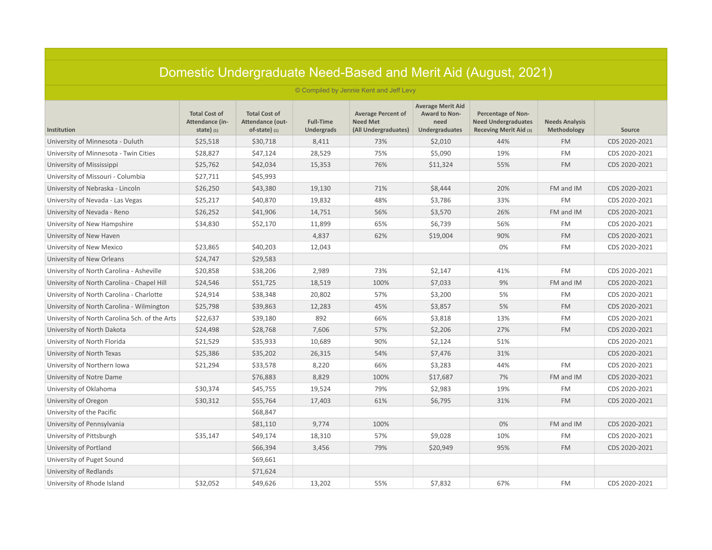| Domestic Undergraduate Need-Based and Merit Aid (August, 2021) |                                                        |                                                             |                                       |                                                                      |                                                                     |                                                                                   |                                      |               |  |
|----------------------------------------------------------------|--------------------------------------------------------|-------------------------------------------------------------|---------------------------------------|----------------------------------------------------------------------|---------------------------------------------------------------------|-----------------------------------------------------------------------------------|--------------------------------------|---------------|--|
| © Compiled by Jennie Kent and Jeff Levy                        |                                                        |                                                             |                                       |                                                                      |                                                                     |                                                                                   |                                      |               |  |
| Institution                                                    | <b>Total Cost of</b><br>Attendance (in-<br>state $(1)$ | <b>Total Cost of</b><br>Attendance (out-<br>of-state) $(1)$ | <b>Full-Time</b><br><b>Undergrads</b> | <b>Average Percent of</b><br><b>Need Met</b><br>(All Undergraduates) | <b>Average Merit Aid</b><br>Award to Non-<br>need<br>Undergraduates | <b>Percentage of Non-</b><br><b>Need Undergraduates</b><br>Receving Merit Aid (3) | <b>Needs Analysis</b><br>Methodology | Source        |  |
| University of Minnesota - Duluth                               | \$25,518                                               | \$30,718                                                    | 8,411                                 | 73%                                                                  | \$2,010                                                             | 44%                                                                               | <b>FM</b>                            | CDS 2020-2021 |  |
| University of Minnesota - Twin Cities                          | \$28,827                                               | \$47,124                                                    | 28,529                                | 75%                                                                  | \$5,090                                                             | 19%                                                                               | <b>FM</b>                            | CDS 2020-2021 |  |
| University of Mississippi                                      | \$25,762                                               | \$42,034                                                    | 15,353                                | 76%                                                                  | \$11,324                                                            | 55%                                                                               | <b>FM</b>                            | CDS 2020-2021 |  |
| University of Missouri - Columbia                              | \$27,711                                               | \$45,993                                                    |                                       |                                                                      |                                                                     |                                                                                   |                                      |               |  |
| University of Nebraska - Lincoln                               | \$26,250                                               | \$43,380                                                    | 19,130                                | 71%                                                                  | \$8,444                                                             | 20%                                                                               | FM and IM                            | CDS 2020-2021 |  |
| University of Nevada - Las Vegas                               | \$25,217                                               | \$40,870                                                    | 19,832                                | 48%                                                                  | \$3,786                                                             | 33%                                                                               | <b>FM</b>                            | CDS 2020-2021 |  |
| University of Nevada - Reno                                    | \$26,252                                               | \$41,906                                                    | 14,751                                | 56%                                                                  | \$3,570                                                             | 26%                                                                               | FM and IM                            | CDS 2020-2021 |  |
| University of New Hampshire                                    | \$34,830                                               | \$52,170                                                    | 11,899                                | 65%                                                                  | \$6,739                                                             | 56%                                                                               | FM                                   | CDS 2020-2021 |  |
| University of New Haven                                        |                                                        |                                                             | 4,837                                 | 62%                                                                  | \$19,004                                                            | 90%                                                                               | <b>FM</b>                            | CDS 2020-2021 |  |
| University of New Mexico                                       | \$23,865                                               | \$40,203                                                    | 12,043                                |                                                                      |                                                                     | 0%                                                                                | <b>FM</b>                            | CDS 2020-2021 |  |
| University of New Orleans                                      | \$24,747                                               | \$29,583                                                    |                                       |                                                                      |                                                                     |                                                                                   |                                      |               |  |
| University of North Carolina - Asheville                       | \$20,858                                               | \$38,206                                                    | 2,989                                 | 73%                                                                  | \$2,147                                                             | 41%                                                                               | <b>FM</b>                            | CDS 2020-2021 |  |
| University of North Carolina - Chapel Hill                     | \$24,546                                               | \$51,725                                                    | 18,519                                | 100%                                                                 | \$7,033                                                             | 9%                                                                                | FM and IM                            | CDS 2020-2021 |  |
| University of North Carolina - Charlotte                       | \$24,914                                               | \$38,348                                                    | 20,802                                | 57%                                                                  | \$3,200                                                             | 5%                                                                                | <b>FM</b>                            | CDS 2020-2021 |  |
| University of North Carolina - Wilmington                      | \$25,798                                               | \$39,863                                                    | 12,283                                | 45%                                                                  | \$3,857                                                             | 5%                                                                                | <b>FM</b>                            | CDS 2020-2021 |  |
| University of North Carolina Sch. of the Arts                  | \$22,637                                               | \$39,180                                                    | 892                                   | 66%                                                                  | \$3,818                                                             | 13%                                                                               | <b>FM</b>                            | CDS 2020-2021 |  |
| University of North Dakota                                     | \$24,498                                               | \$28,768                                                    | 7,606                                 | 57%                                                                  | \$2,206                                                             | 27%                                                                               | <b>FM</b>                            | CDS 2020-2021 |  |
| University of North Florida                                    | \$21,529                                               | \$35,933                                                    | 10,689                                | 90%                                                                  | \$2,124                                                             | 51%                                                                               |                                      | CDS 2020-2021 |  |
| University of North Texas                                      | \$25,386                                               | \$35,202                                                    | 26,315                                | 54%                                                                  | \$7,476                                                             | 31%                                                                               |                                      | CDS 2020-2021 |  |
| University of Northern Iowa                                    | \$21,294                                               | \$33,578                                                    | 8,220                                 | 66%                                                                  | \$3,283                                                             | 44%                                                                               | <b>FM</b>                            | CDS 2020-2021 |  |
| University of Notre Dame                                       |                                                        | \$76,883                                                    | 8,829                                 | 100%                                                                 | \$17,687                                                            | 7%                                                                                | FM and IM                            | CDS 2020-2021 |  |
| University of Oklahoma                                         | \$30,374                                               | \$45,755                                                    | 19,524                                | 79%                                                                  | \$2,983                                                             | 19%                                                                               | <b>FM</b>                            | CDS 2020-2021 |  |
| University of Oregon                                           | \$30,312                                               | \$55,764                                                    | 17,403                                | 61%                                                                  | \$6,795                                                             | 31%                                                                               | <b>FM</b>                            | CDS 2020-2021 |  |
| University of the Pacific                                      |                                                        | \$68,847                                                    |                                       |                                                                      |                                                                     |                                                                                   |                                      |               |  |
| University of Pennsylvania                                     |                                                        | \$81,110                                                    | 9,774                                 | 100%                                                                 |                                                                     | 0%                                                                                | FM and IM                            | CDS 2020-2021 |  |
| University of Pittsburgh                                       | \$35,147                                               | \$49,174                                                    | 18,310                                | 57%                                                                  | \$9,028                                                             | 10%                                                                               | FM                                   | CDS 2020-2021 |  |
| University of Portland                                         |                                                        | \$66,394                                                    | 3,456                                 | 79%                                                                  | \$20,949                                                            | 95%                                                                               | <b>FM</b>                            | CDS 2020-2021 |  |
| University of Puget Sound                                      |                                                        | \$69,661                                                    |                                       |                                                                      |                                                                     |                                                                                   |                                      |               |  |
| University of Redlands                                         |                                                        | \$71,624                                                    |                                       |                                                                      |                                                                     |                                                                                   |                                      |               |  |
| University of Rhode Island                                     | \$32,052                                               | \$49,626                                                    | 13,202                                | 55%                                                                  | \$7,832                                                             | 67%                                                                               | <b>FM</b>                            | CDS 2020-2021 |  |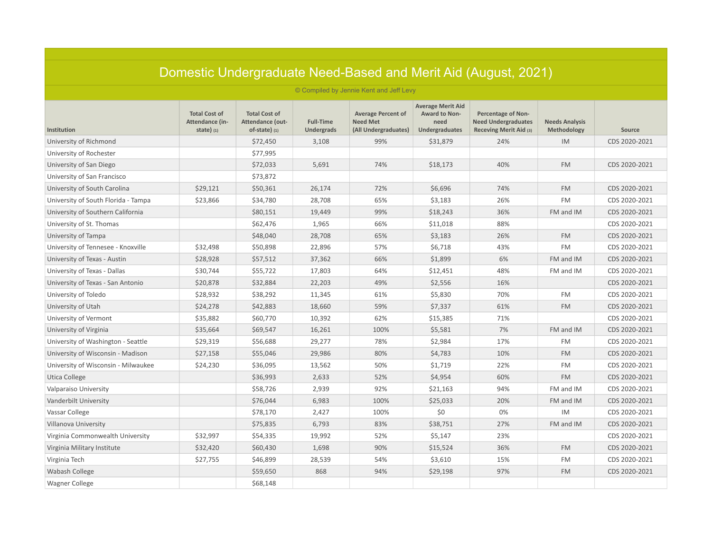| Domestic Undergraduate Need-Based and Merit Aid (August, 2021) |                                                        |                                                             |                                       |                                                                      |                                                                     |                                                                                   |                                      |               |  |
|----------------------------------------------------------------|--------------------------------------------------------|-------------------------------------------------------------|---------------------------------------|----------------------------------------------------------------------|---------------------------------------------------------------------|-----------------------------------------------------------------------------------|--------------------------------------|---------------|--|
| © Compiled by Jennie Kent and Jeff Levy                        |                                                        |                                                             |                                       |                                                                      |                                                                     |                                                                                   |                                      |               |  |
| Institution                                                    | <b>Total Cost of</b><br>Attendance (in-<br>state $(1)$ | <b>Total Cost of</b><br>Attendance (out-<br>$of-state)$ (1) | <b>Full-Time</b><br><b>Undergrads</b> | <b>Average Percent of</b><br><b>Need Met</b><br>(All Undergraduates) | <b>Average Merit Aid</b><br>Award to Non-<br>need<br>Undergraduates | <b>Percentage of Non-</b><br><b>Need Undergraduates</b><br>Receving Merit Aid (3) | <b>Needs Analysis</b><br>Methodology | Source        |  |
| University of Richmond                                         |                                                        | \$72,450                                                    | 3,108                                 | 99%                                                                  | \$31,879                                                            | 24%                                                                               | IM                                   | CDS 2020-2021 |  |
| University of Rochester                                        |                                                        | \$77,995                                                    |                                       |                                                                      |                                                                     |                                                                                   |                                      |               |  |
| University of San Diego                                        |                                                        | \$72,033                                                    | 5,691                                 | 74%                                                                  | \$18,173                                                            | 40%                                                                               | <b>FM</b>                            | CDS 2020-2021 |  |
| University of San Francisco                                    |                                                        | \$73,872                                                    |                                       |                                                                      |                                                                     |                                                                                   |                                      |               |  |
| University of South Carolina                                   | \$29,121                                               | \$50,361                                                    | 26,174                                | 72%                                                                  | \$6,696                                                             | 74%                                                                               | <b>FM</b>                            | CDS 2020-2021 |  |
| University of South Florida - Tampa                            | \$23,866                                               | \$34,780                                                    | 28,708                                | 65%                                                                  | \$3,183                                                             | 26%                                                                               | <b>FM</b>                            | CDS 2020-2021 |  |
| University of Southern California                              |                                                        | \$80,151                                                    | 19,449                                | 99%                                                                  | \$18,243                                                            | 36%                                                                               | FM and IM                            | CDS 2020-2021 |  |
| University of St. Thomas                                       |                                                        | \$62,476                                                    | 1,965                                 | 66%                                                                  | \$11,018                                                            | 88%                                                                               |                                      | CDS 2020-2021 |  |
| University of Tampa                                            |                                                        | \$48,040                                                    | 28,708                                | 65%                                                                  | \$3,183                                                             | 26%                                                                               | <b>FM</b>                            | CDS 2020-2021 |  |
| University of Tennesee - Knoxville                             | \$32,498                                               | \$50,898                                                    | 22,896                                | 57%                                                                  | \$6,718                                                             | 43%                                                                               | <b>FM</b>                            | CDS 2020-2021 |  |
| University of Texas - Austin                                   | \$28,928                                               | \$57,512                                                    | 37,362                                | 66%                                                                  | \$1,899                                                             | 6%                                                                                | FM and IM                            | CDS 2020-2021 |  |
| University of Texas - Dallas                                   | \$30,744                                               | \$55,722                                                    | 17,803                                | 64%                                                                  | \$12,451                                                            | 48%                                                                               | FM and IM                            | CDS 2020-2021 |  |
| University of Texas - San Antonio                              | \$20,878                                               | \$32,884                                                    | 22,203                                | 49%                                                                  | \$2,556                                                             | 16%                                                                               |                                      | CDS 2020-2021 |  |
| University of Toledo                                           | \$28,932                                               | \$38,292                                                    | 11,345                                | 61%                                                                  | \$5,830                                                             | 70%                                                                               | <b>FM</b>                            | CDS 2020-2021 |  |
| University of Utah                                             | \$24,278                                               | \$42,883                                                    | 18,660                                | 59%                                                                  | \$7,337                                                             | 61%                                                                               | <b>FM</b>                            | CDS 2020-2021 |  |
| University of Vermont                                          | \$35,882                                               | \$60,770                                                    | 10,392                                | 62%                                                                  | \$15,385                                                            | 71%                                                                               |                                      | CDS 2020-2021 |  |
| University of Virginia                                         | \$35,664                                               | \$69,547                                                    | 16,261                                | 100%                                                                 | \$5,581                                                             | 7%                                                                                | FM and IM                            | CDS 2020-2021 |  |
| University of Washington - Seattle                             | \$29,319                                               | \$56,688                                                    | 29,277                                | 78%                                                                  | \$2,984                                                             | 17%                                                                               | FM                                   | CDS 2020-2021 |  |
| University of Wisconsin - Madison                              | \$27,158                                               | \$55,046                                                    | 29,986                                | 80%                                                                  | \$4,783                                                             | 10%                                                                               | <b>FM</b>                            | CDS 2020-2021 |  |
| University of Wisconsin - Milwaukee                            | \$24,230                                               | \$36,095                                                    | 13,562                                | 50%                                                                  | \$1,719                                                             | 22%                                                                               | <b>FM</b>                            | CDS 2020-2021 |  |
| <b>Utica College</b>                                           |                                                        | \$36,993                                                    | 2,633                                 | 52%                                                                  | \$4,954                                                             | 60%                                                                               | <b>FM</b>                            | CDS 2020-2021 |  |
| Valparaiso University                                          |                                                        | \$58,726                                                    | 2,939                                 | 92%                                                                  | \$21,163                                                            | 94%                                                                               | FM and IM                            | CDS 2020-2021 |  |
| Vanderbilt University                                          |                                                        | \$76,044                                                    | 6,983                                 | 100%                                                                 | \$25,033                                                            | 20%                                                                               | FM and IM                            | CDS 2020-2021 |  |
| Vassar College                                                 |                                                        | \$78,170                                                    | 2,427                                 | 100%                                                                 | \$0                                                                 | 0%                                                                                | IM                                   | CDS 2020-2021 |  |
| Villanova University                                           |                                                        | \$75,835                                                    | 6,793                                 | 83%                                                                  | \$38,751                                                            | 27%                                                                               | FM and IM                            | CDS 2020-2021 |  |
| Virginia Commonwealth University                               | \$32,997                                               | \$54,335                                                    | 19,992                                | 52%                                                                  | \$5,147                                                             | 23%                                                                               |                                      | CDS 2020-2021 |  |
| Virginia Military Institute                                    | \$32,420                                               | \$60,430                                                    | 1,698                                 | 90%                                                                  | \$15,524                                                            | 36%                                                                               | <b>FM</b>                            | CDS 2020-2021 |  |
| Virginia Tech                                                  | \$27,755                                               | \$46,899                                                    | 28,539                                | 54%                                                                  | \$3,610                                                             | 15%                                                                               | <b>FM</b>                            | CDS 2020-2021 |  |
| Wabash College                                                 |                                                        | \$59,650                                                    | 868                                   | 94%                                                                  | \$29,198                                                            | 97%                                                                               | <b>FM</b>                            | CDS 2020-2021 |  |
| Wagner College                                                 |                                                        | \$68,148                                                    |                                       |                                                                      |                                                                     |                                                                                   |                                      |               |  |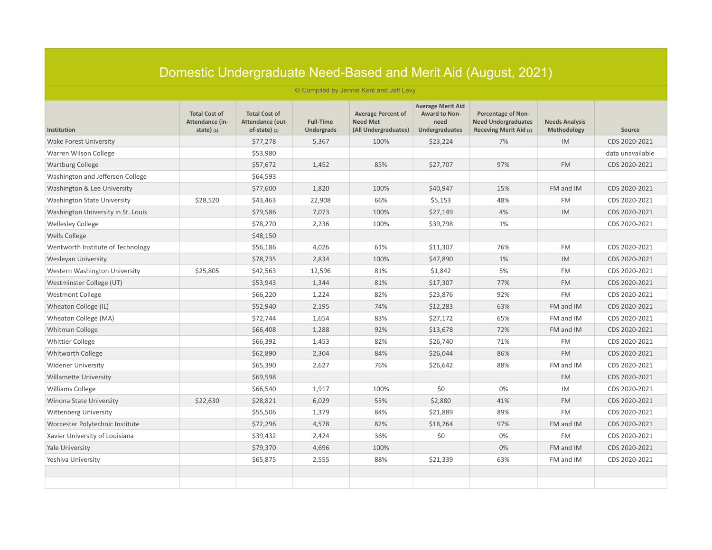| Domestic Undergraduate Need-Based and Merit Aid (August, 2021) |                                                        |                                                             |                                       |                                                                      |                                                                     |                                                                                   |                                      |                  |
|----------------------------------------------------------------|--------------------------------------------------------|-------------------------------------------------------------|---------------------------------------|----------------------------------------------------------------------|---------------------------------------------------------------------|-----------------------------------------------------------------------------------|--------------------------------------|------------------|
|                                                                |                                                        |                                                             |                                       | © Compiled by Jennie Kent and Jeff Levy                              |                                                                     |                                                                                   |                                      |                  |
| <b>Institution</b>                                             | <b>Total Cost of</b><br>Attendance (in-<br>state $(1)$ | <b>Total Cost of</b><br>Attendance (out-<br>$of-state)$ (1) | <b>Full-Time</b><br><b>Undergrads</b> | <b>Average Percent of</b><br><b>Need Met</b><br>(All Undergraduates) | <b>Average Merit Aid</b><br>Award to Non-<br>need<br>Undergraduates | <b>Percentage of Non-</b><br><b>Need Undergraduates</b><br>Receving Merit Aid (3) | <b>Needs Analysis</b><br>Methodology | Source           |
| <b>Wake Forest University</b>                                  |                                                        | \$77,278                                                    | 5,367                                 | 100%                                                                 | \$23,224                                                            | 7%                                                                                | IM                                   | CDS 2020-2021    |
| Warren Wilson College                                          |                                                        | \$53,980                                                    |                                       |                                                                      |                                                                     |                                                                                   |                                      | data unavailable |
| <b>Wartburg College</b>                                        |                                                        | \$57,672                                                    | 1,452                                 | 85%                                                                  | \$27,707                                                            | 97%                                                                               | <b>FM</b>                            | CDS 2020-2021    |
| Washington and Jefferson College                               |                                                        | \$64,593                                                    |                                       |                                                                      |                                                                     |                                                                                   |                                      |                  |
| Washington & Lee University                                    |                                                        | \$77,600                                                    | 1,820                                 | 100%                                                                 | \$40,947                                                            | 15%                                                                               | FM and IM                            | CDS 2020-2021    |
| <b>Washington State University</b>                             | \$28,520                                               | \$43,463                                                    | 22,908                                | 66%                                                                  | \$5,153                                                             | 48%                                                                               | <b>FM</b>                            | CDS 2020-2021    |
| Washington University in St. Louis                             |                                                        | \$79,586                                                    | 7,073                                 | 100%                                                                 | \$27,149                                                            | 4%                                                                                | <b>IM</b>                            | CDS 2020-2021    |
| <b>Wellesley College</b>                                       |                                                        | \$78,270                                                    | 2,236                                 | 100%                                                                 | \$39,798                                                            | 1%                                                                                |                                      | CDS 2020-2021    |
| <b>Wells College</b>                                           |                                                        | \$48,150                                                    |                                       |                                                                      |                                                                     |                                                                                   |                                      |                  |
| Wentworth Institute of Technology                              |                                                        | \$56,186                                                    | 4,026                                 | 61%                                                                  | \$11,307                                                            | 76%                                                                               | <b>FM</b>                            | CDS 2020-2021    |
| <b>Wesleyan University</b>                                     |                                                        | \$78,735                                                    | 2,834                                 | 100%                                                                 | \$47,890                                                            | 1%                                                                                | IM                                   | CDS 2020-2021    |
| Western Washington University                                  | \$25,805                                               | \$42,563                                                    | 12,596                                | 81%                                                                  | \$1,842                                                             | 5%                                                                                | <b>FM</b>                            | CDS 2020-2021    |
| Westminster College (UT)                                       |                                                        | \$53,943                                                    | 1,344                                 | 81%                                                                  | \$17,307                                                            | 77%                                                                               | <b>FM</b>                            | CDS 2020-2021    |
| <b>Westmont College</b>                                        |                                                        | \$66,220                                                    | 1,224                                 | 82%                                                                  | \$23,876                                                            | 92%                                                                               | <b>FM</b>                            | CDS 2020-2021    |
| Wheaton College (IL)                                           |                                                        | \$52,940                                                    | 2,195                                 | 74%                                                                  | \$12,283                                                            | 63%                                                                               | FM and IM                            | CDS 2020-2021    |
| Wheaton College (MA)                                           |                                                        | \$72,744                                                    | 1,654                                 | 83%                                                                  | \$27,172                                                            | 65%                                                                               | FM and IM                            | CDS 2020-2021    |
| Whitman College                                                |                                                        | \$66,408                                                    | 1,288                                 | 92%                                                                  | \$13,678                                                            | 72%                                                                               | FM and IM                            | CDS 2020-2021    |
| <b>Whittier College</b>                                        |                                                        | \$66,392                                                    | 1,453                                 | 82%                                                                  | \$26,740                                                            | 71%                                                                               | <b>FM</b>                            | CDS 2020-2021    |
| Whitworth College                                              |                                                        | \$62,890                                                    | 2,304                                 | 84%                                                                  | \$26,044                                                            | 86%                                                                               | <b>FM</b>                            | CDS 2020-2021    |
| <b>Widener University</b>                                      |                                                        | \$65,390                                                    | 2,627                                 | 76%                                                                  | \$26,642                                                            | 88%                                                                               | FM and IM                            | CDS 2020-2021    |
| <b>Willamette University</b>                                   |                                                        | \$69,598                                                    |                                       |                                                                      |                                                                     |                                                                                   | <b>FM</b>                            | CDS 2020-2021    |
| <b>Williams College</b>                                        |                                                        | \$66,540                                                    | 1,917                                 | 100%                                                                 | \$0                                                                 | 0%                                                                                | IM                                   | CDS 2020-2021    |
| <b>Winona State University</b>                                 | \$22,630                                               | \$28,821                                                    | 6,029                                 | 55%                                                                  | \$2,880                                                             | 41%                                                                               | <b>FM</b>                            | CDS 2020-2021    |
| <b>Wittenberg University</b>                                   |                                                        | \$55,506                                                    | 1,379                                 | 84%                                                                  | \$21,889                                                            | 89%                                                                               | <b>FM</b>                            | CDS 2020-2021    |
| Worcester Polytechnic Institute                                |                                                        | \$72,296                                                    | 4,578                                 | 82%                                                                  | \$18,264                                                            | 97%                                                                               | FM and IM                            | CDS 2020-2021    |
| Xavier University of Louisiana                                 |                                                        | \$39,432                                                    | 2,424                                 | 36%                                                                  | \$0                                                                 | 0%                                                                                | <b>FM</b>                            | CDS 2020-2021    |
| Yale University                                                |                                                        | \$79,370                                                    | 4,696                                 | 100%                                                                 |                                                                     | 0%                                                                                | FM and IM                            | CDS 2020-2021    |
| Yeshiva University                                             |                                                        | \$65,875                                                    | 2,555                                 | 88%                                                                  | \$21,339                                                            | 63%                                                                               | FM and IM                            | CDS 2020-2021    |
|                                                                |                                                        |                                                             |                                       |                                                                      |                                                                     |                                                                                   |                                      |                  |
|                                                                |                                                        |                                                             |                                       |                                                                      |                                                                     |                                                                                   |                                      |                  |